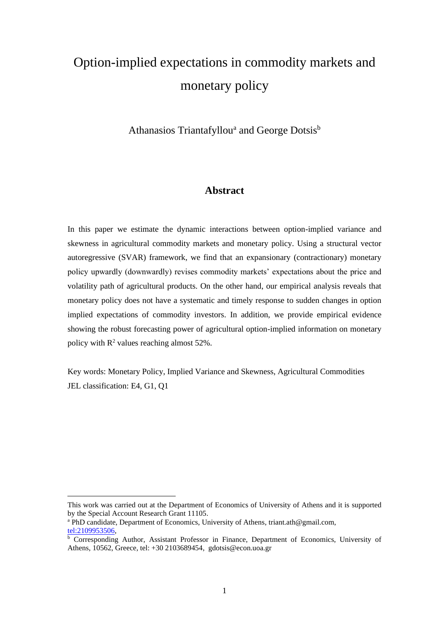# Option-implied expectations in commodity markets and monetary policy

Athanasios Triantafyllou<sup>a</sup> and George Dotsis<sup>b</sup>

# **Abstract**

In this paper we estimate the dynamic interactions between option-implied variance and skewness in agricultural commodity markets and monetary policy. Using a structural vector autoregressive (SVAR) framework, we find that an expansionary (contractionary) monetary policy upwardly (downwardly) revises commodity markets' expectations about the price and volatility path of agricultural products. On the other hand, our empirical analysis reveals that monetary policy does not have a systematic and timely response to sudden changes in option implied expectations of commodity investors. In addition, we provide empirical evidence showing the robust forecasting power of agricultural option-implied information on monetary policy with  $\mathbb{R}^2$  values reaching almost 52%.

Key words: Monetary Policy, Implied Variance and Skewness, Agricultural Commodities JEL classification: E4, G1, Q1

This work was carried out at the Department of Economics of University of Athens and it is supported by the Special Account Research Grant 11105.

<sup>a</sup> PhD candidate, Department of Economics, University of Athens, triant.ath@gmail.com, [tel:2109953506,](tel:2109953506)

 $\overline{b}$  Corresponding Author, Assistant Professor in Finance, Department of Economics, University of Athens, 10562, Greece, tel: +30 2103689454, gdotsis@econ.uoa.gr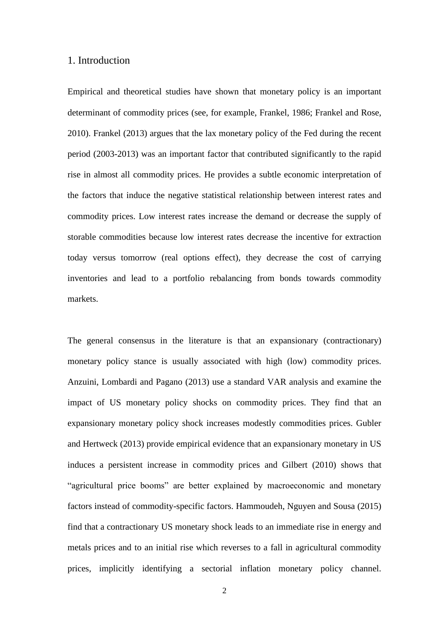## 1. Introduction

Empirical and theoretical studies have shown that monetary policy is an important determinant of commodity prices (see, for example, Frankel, 1986; Frankel and Rose, 2010). Frankel (2013) argues that the lax monetary policy of the Fed during the recent period (2003-2013) was an important factor that contributed significantly to the rapid rise in almost all commodity prices. He provides a subtle economic interpretation of the factors that induce the negative statistical relationship between interest rates and commodity prices. Low interest rates increase the demand or decrease the supply of storable commodities because low interest rates decrease the incentive for extraction today versus tomorrow (real options effect), they decrease the cost of carrying inventories and lead to a portfolio rebalancing from bonds towards commodity markets.

The general consensus in the literature is that an expansionary (contractionary) monetary policy stance is usually associated with high (low) commodity prices. Anzuini, Lombardi and Pagano (2013) use a standard VAR analysis and examine the impact of US monetary policy shocks on commodity prices. They find that an expansionary monetary policy shock increases modestly commodities prices. Gubler and Hertweck (2013) provide empirical evidence that an expansionary monetary in US induces a persistent increase in commodity prices and Gilbert (2010) shows that "agricultural price booms" are better explained by macroeconomic and monetary factors instead of commodity-specific factors. Hammoudeh, Nguyen and Sousa (2015) find that a contractionary US monetary shock leads to an immediate rise in energy and metals prices and to an initial rise which reverses to a fall in agricultural commodity prices, implicitly identifying a sectorial inflation monetary policy channel.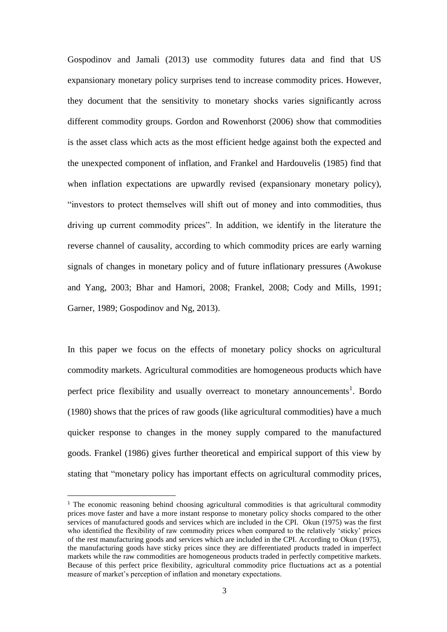Gospodinov and Jamali (2013) use commodity futures data and find that US expansionary monetary policy surprises tend to increase commodity prices. However, they document that the sensitivity to monetary shocks varies significantly across different commodity groups. Gordon and Rowenhorst (2006) show that commodities is the asset class which acts as the most efficient hedge against both the expected and the unexpected component of inflation, and Frankel and Hardouvelis (1985) find that when inflation expectations are upwardly revised (expansionary monetary policy), "investors to protect themselves will shift out of money and into commodities, thus driving up current commodity prices". In addition, we identify in the literature the reverse channel of causality, according to which commodity prices are early warning signals of changes in monetary policy and of future inflationary pressures (Awokuse and Yang, 2003; Bhar and Hamori, 2008; Frankel, 2008; Cody and Mills, 1991; Garner, 1989; Gospodinov and Ng, 2013).

In this paper we focus on the effects of monetary policy shocks on agricultural commodity markets. Agricultural commodities are homogeneous products which have perfect price flexibility and usually overreact to monetary announcements<sup>1</sup>. Bordo (1980) shows that the prices of raw goods (like agricultural commodities) have a much quicker response to changes in the money supply compared to the manufactured goods. Frankel (1986) gives further theoretical and empirical support of this view by stating that "monetary policy has important effects on agricultural commodity prices,

<sup>&</sup>lt;sup>1</sup> The economic reasoning behind choosing agricultural commodities is that agricultural commodity prices move faster and have a more instant response to monetary policy shocks compared to the other services of manufactured goods and services which are included in the CPI. Okun (1975) was the first who identified the flexibility of raw commodity prices when compared to the relatively 'sticky' prices of the rest manufacturing goods and services which are included in the CPI. According to Okun (1975), the manufacturing goods have sticky prices since they are differentiated products traded in imperfect markets while the raw commodities are homogeneous products traded in perfectly competitive markets. Because of this perfect price flexibility, agricultural commodity price fluctuations act as a potential measure of market's perception of inflation and monetary expectations.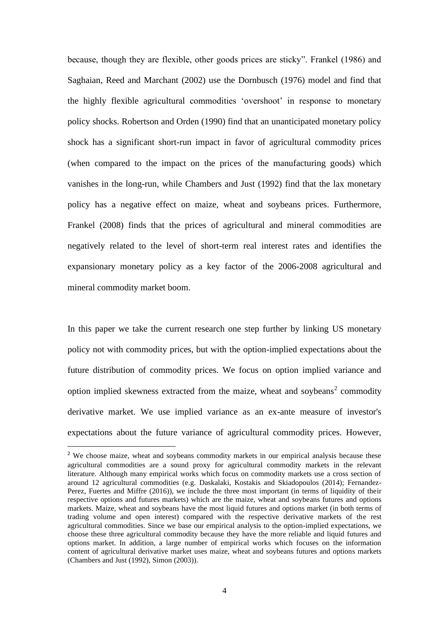because, though they are flexible, other goods prices are sticky". Frankel (1986) and Saghaian, Reed and Marchant (2002) use the Dornbusch (1976) model and find that the highly flexible agricultural commodities 'overshoot' in response to monetary policy shocks. Robertson and Orden (1990) find that an unanticipated monetary policy shock has a significant short-run impact in favor of agricultural commodity prices (when compared to the impact on the prices of the manufacturing goods) which vanishes in the long-run, while Chambers and Just (1992) find that the lax monetary policy has a negative effect on maize, wheat and soybeans prices. Furthermore, Frankel (2008) finds that the prices of agricultural and mineral commodities are negatively related to the level of short-term real interest rates and identifies the expansionary monetary policy as a key factor of the 2006-2008 agricultural and mineral commodity market boom.

In this paper we take the current research one step further by linking US monetary policy not with commodity prices, but with the option-implied expectations about the future distribution of commodity prices. We focus on option implied variance and option implied skewness extracted from the maize, wheat and soybeans<sup>2</sup> commodity derivative market. We use implied variance as an ex-ante measure of investor's expectations about the future variance of agricultural commodity prices. However,

<sup>&</sup>lt;sup>2</sup> We choose maize, wheat and soybeans commodity markets in our empirical analysis because these agricultural commodities are a sound proxy for agricultural commodity markets in the relevant literature. Although many empirical works which focus on commodity markets use a cross section of around 12 agricultural commodities (e.g. Daskalaki, Kostakis and Skiadopoulos (2014); Fernandez-Perez, Fuertes and Miffre (2016)), we include the three most important (in terms of liquidity of their respective options and futures markets) which are the maize, wheat and soybeans futures and options markets. Maize, wheat and soybeans have the most liquid futures and options market (in both terms of trading volume and open interest) compared with the respective derivative markets of the rest agricultural commodities. Since we base our empirical analysis to the option-implied expectations, we choose these three agricultural commodity because they have the more reliable and liquid futures and options market. In addition, a large number of empirical works which focuses on the information content of agricultural derivative market uses maize, wheat and soybeans futures and options markets (Chambers and Just (1992), Simon (2003)).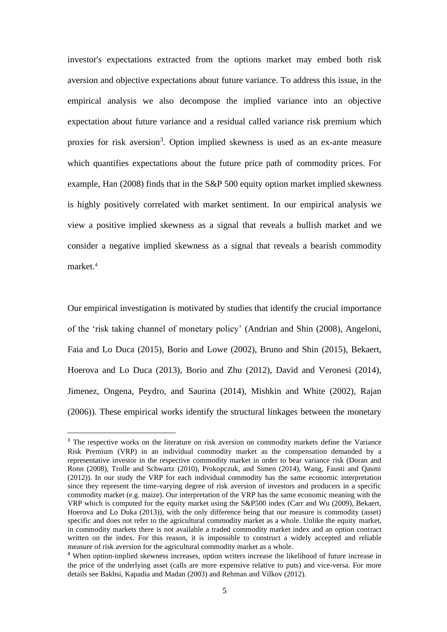investor's expectations extracted from the options market may embed both risk aversion and objective expectations about future variance. To address this issue, in the empirical analysis we also decompose the implied variance into an objective expectation about future variance and a residual called variance risk premium which proxies for risk aversion<sup>3</sup>. Option implied skewness is used as an ex-ante measure which quantifies expectations about the future price path of commodity prices. For example, Han (2008) finds that in the S&P 500 equity option market implied skewness is highly positively correlated with market sentiment. In our empirical analysis we view a positive implied skewness as a signal that reveals a bullish market and we consider a negative implied skewness as a signal that reveals a bearish commodity market.<sup>4</sup>

Our empirical investigation is motivated by studies that identify the crucial importance of the 'risk taking channel of monetary policy' (Andrian and Shin (2008), Angeloni, Faia and Lo Duca (2015), Borio and Lowe (2002), Bruno and Shin (2015), Bekaert, Hoerova and Lo Duca (2013), Borio and Zhu (2012), David and Veronesi (2014), Jimenez, Ongena, Peydro, and Saurina (2014), Mishkin and White (2002), Rajan (2006)). These empirical works identify the structural linkages between the monetary

<sup>&</sup>lt;sup>3</sup> The respective works on the literature on risk aversion on commodity markets define the Variance Risk Premium (VRP) in an individual commodity market as the compensation demanded by a representative investor in the respective commodity market in order to bear variance risk (Doran and Ronn (2008), Trolle and Schwartz (2010), Prokopczuk, and Simen (2014), Wang, Fausti and Qasmi (2012)). In our study the VRP for each individual commodity has the same economic interpretation since they represent the time-varying degree of risk aversion of investors and producers in a specific commodity market (e.g. maize). Our interpretation of the VRP has the same economic meaning with the VRP which is computed for the equity market using the S&P500 index (Carr and Wu (2009), Bekaert, Hoerova and Lo Duka (2013)), with the only difference being that our measure is commodity (asset) specific and does not refer to the agricultural commodity market as a whole. Unlike the equity market, in commodity markets there is not available a traded commodity market index and an option contract written on the index. For this reason, it is impossible to construct a widely accepted and reliable measure of risk aversion for the agricultural commodity market as a whole.

<sup>4</sup> When option-implied skewness increases, option writers increase the likelihood of future increase in the price of the underlying asset (calls are more expensive relative to puts) and vice-versa. For more details see Bakhsi, Kapadia and Madan (2003) and Rehman and Vilkov (2012).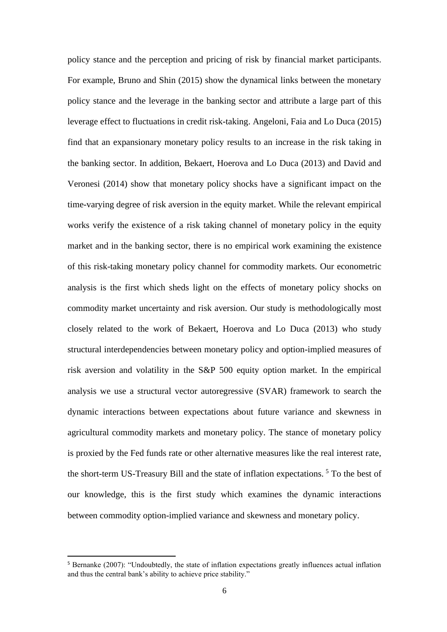policy stance and the perception and pricing of risk by financial market participants. For example, Bruno and Shin (2015) show the dynamical links between the monetary policy stance and the leverage in the banking sector and attribute a large part of this leverage effect to fluctuations in credit risk-taking. Angeloni, Faia and Lo Duca (2015) find that an expansionary monetary policy results to an increase in the risk taking in the banking sector. In addition, Bekaert, Hoerova and Lo Duca (2013) and David and Veronesi (2014) show that monetary policy shocks have a significant impact on the time-varying degree of risk aversion in the equity market. While the relevant empirical works verify the existence of a risk taking channel of monetary policy in the equity market and in the banking sector, there is no empirical work examining the existence of this risk-taking monetary policy channel for commodity markets. Our econometric analysis is the first which sheds light on the effects of monetary policy shocks on commodity market uncertainty and risk aversion. Our study is methodologically most closely related to the work of Bekaert, Hoerova and Lo Duca (2013) who study structural interdependencies between monetary policy and option-implied measures of risk aversion and volatility in the S&P 500 equity option market. In the empirical analysis we use a structural vector autoregressive (SVAR) framework to search the dynamic interactions between expectations about future variance and skewness in agricultural commodity markets and monetary policy. The stance of monetary policy is proxied by the Fed funds rate or other alternative measures like the real interest rate, the short-term US-Treasury Bill and the state of inflation expectations.<sup>5</sup> To the best of our knowledge, this is the first study which examines the dynamic interactions between commodity option-implied variance and skewness and monetary policy.

<sup>5</sup> Bernanke (2007): "Undoubtedly, the state of inflation expectations greatly influences actual inflation and thus the central bank's ability to achieve price stability."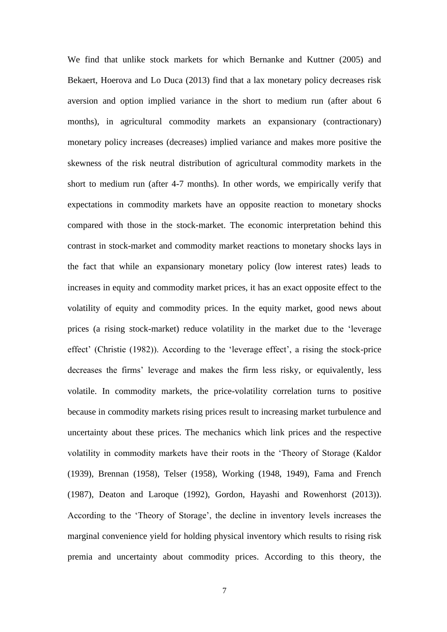We find that unlike stock markets for which Bernanke and Kuttner (2005) and Bekaert, Hoerova and Lo Duca (2013) find that a lax monetary policy decreases risk aversion and option implied variance in the short to medium run (after about 6 months), in agricultural commodity markets an expansionary (contractionary) monetary policy increases (decreases) implied variance and makes more positive the skewness of the risk neutral distribution of agricultural commodity markets in the short to medium run (after 4-7 months). In other words, we empirically verify that expectations in commodity markets have an opposite reaction to monetary shocks compared with those in the stock-market. The economic interpretation behind this contrast in stock-market and commodity market reactions to monetary shocks lays in the fact that while an expansionary monetary policy (low interest rates) leads to increases in equity and commodity market prices, it has an exact opposite effect to the volatility of equity and commodity prices. In the equity market, good news about prices (a rising stock-market) reduce volatility in the market due to the 'leverage effect' (Christie (1982)). According to the 'leverage effect', a rising the stock-price decreases the firms' leverage and makes the firm less risky, or equivalently, less volatile. In commodity markets, the price-volatility correlation turns to positive because in commodity markets rising prices result to increasing market turbulence and uncertainty about these prices. The mechanics which link prices and the respective volatility in commodity markets have their roots in the 'Theory of Storage (Kaldor (1939), Brennan (1958), Telser (1958), Working (1948, 1949), Fama and French (1987), Deaton and Laroque (1992), Gordon, Hayashi and Rowenhorst (2013)). According to the 'Theory of Storage', the decline in inventory levels increases the marginal convenience yield for holding physical inventory which results to rising risk premia and uncertainty about commodity prices. According to this theory, the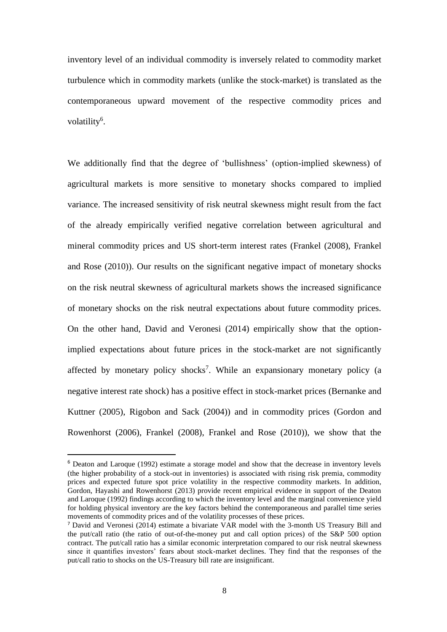inventory level of an individual commodity is inversely related to commodity market turbulence which in commodity markets (unlike the stock-market) is translated as the contemporaneous upward movement of the respective commodity prices and volatility<sup>6</sup>.

We additionally find that the degree of 'bullishness' (option-implied skewness) of agricultural markets is more sensitive to monetary shocks compared to implied variance. The increased sensitivity of risk neutral skewness might result from the fact of the already empirically verified negative correlation between agricultural and mineral commodity prices and US short-term interest rates (Frankel (2008), Frankel and Rose (2010)). Our results on the significant negative impact of monetary shocks on the risk neutral skewness of agricultural markets shows the increased significance of monetary shocks on the risk neutral expectations about future commodity prices. On the other hand, David and Veronesi (2014) empirically show that the optionimplied expectations about future prices in the stock-market are not significantly affected by monetary policy shocks<sup>7</sup>. While an expansionary monetary policy (a negative interest rate shock) has a positive effect in stock-market prices (Bernanke and Kuttner (2005), Rigobon and Sack (2004)) and in commodity prices (Gordon and Rowenhorst (2006), Frankel (2008), Frankel and Rose (2010)), we show that the

<sup>&</sup>lt;sup>6</sup> Deaton and Laroque (1992) estimate a storage model and show that the decrease in inventory levels (the higher probability of a stock-out in inventories) is associated with rising risk premia, commodity prices and expected future spot price volatility in the respective commodity markets. In addition, Gordon, Hayashi and Rowenhorst (2013) provide recent empirical evidence in support of the Deaton and Laroque (1992) findings according to which the inventory level and the marginal convenience yield for holding physical inventory are the key factors behind the contemporaneous and parallel time series movements of commodity prices and of the volatility processes of these prices.

<sup>7</sup> David and Veronesi (2014) estimate a bivariate VAR model with the 3-month US Treasury Bill and the put/call ratio (the ratio of out-of-the-money put and call option prices) of the S&P 500 option contract. The put/call ratio has a similar economic interpretation compared to our risk neutral skewness since it quantifies investors' fears about stock-market declines. They find that the responses of the put/call ratio to shocks on the US-Treasury bill rate are insignificant.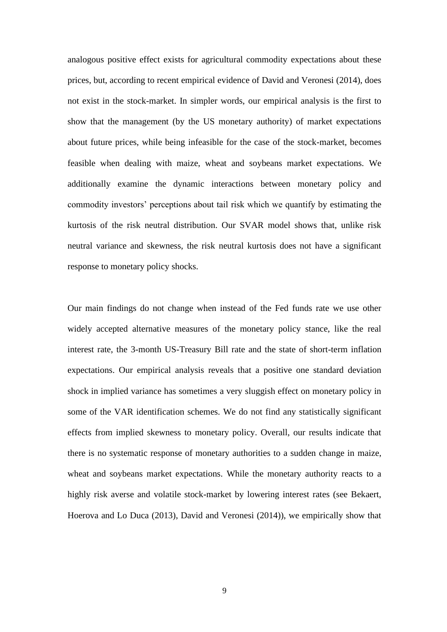analogous positive effect exists for agricultural commodity expectations about these prices, but, according to recent empirical evidence of David and Veronesi (2014), does not exist in the stock-market. In simpler words, our empirical analysis is the first to show that the management (by the US monetary authority) of market expectations about future prices, while being infeasible for the case of the stock-market, becomes feasible when dealing with maize, wheat and soybeans market expectations. We additionally examine the dynamic interactions between monetary policy and commodity investors' perceptions about tail risk which we quantify by estimating the kurtosis of the risk neutral distribution. Our SVAR model shows that, unlike risk neutral variance and skewness, the risk neutral kurtosis does not have a significant response to monetary policy shocks.

Our main findings do not change when instead of the Fed funds rate we use other widely accepted alternative measures of the monetary policy stance, like the real interest rate, the 3-month US-Treasury Bill rate and the state of short-term inflation expectations. Our empirical analysis reveals that a positive one standard deviation shock in implied variance has sometimes a very sluggish effect on monetary policy in some of the VAR identification schemes. We do not find any statistically significant effects from implied skewness to monetary policy. Overall, our results indicate that there is no systematic response of monetary authorities to a sudden change in maize, wheat and soybeans market expectations. While the monetary authority reacts to a highly risk averse and volatile stock-market by lowering interest rates (see Bekaert, Hoerova and Lo Duca (2013), David and Veronesi (2014)), we empirically show that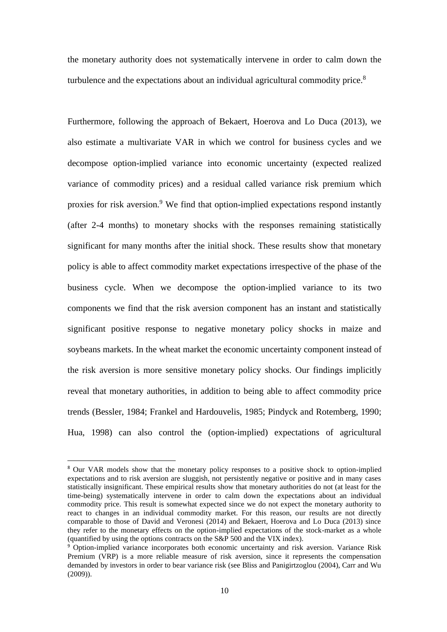the monetary authority does not systematically intervene in order to calm down the turbulence and the expectations about an individual agricultural commodity price.<sup>8</sup>

Furthermore, following the approach of Bekaert, Hoerova and Lo Duca (2013), we also estimate a multivariate VAR in which we control for business cycles and we decompose option-implied variance into economic uncertainty (expected realized variance of commodity prices) and a residual called variance risk premium which proxies for risk aversion.<sup>9</sup> We find that option-implied expectations respond instantly (after 2-4 months) to monetary shocks with the responses remaining statistically significant for many months after the initial shock. These results show that monetary policy is able to affect commodity market expectations irrespective of the phase of the business cycle. When we decompose the option-implied variance to its two components we find that the risk aversion component has an instant and statistically significant positive response to negative monetary policy shocks in maize and soybeans markets. In the wheat market the economic uncertainty component instead of the risk aversion is more sensitive monetary policy shocks. Our findings implicitly reveal that monetary authorities, in addition to being able to affect commodity price trends (Bessler, 1984; Frankel and Hardouvelis, 1985; Pindyck and Rotemberg, 1990; Hua, 1998) can also control the (option-implied) expectations of agricultural

<sup>&</sup>lt;sup>8</sup> Our VAR models show that the monetary policy responses to a positive shock to option-implied expectations and to risk aversion are sluggish, not persistently negative or positive and in many cases statistically insignificant. These empirical results show that monetary authorities do not (at least for the time-being) systematically intervene in order to calm down the expectations about an individual commodity price. This result is somewhat expected since we do not expect the monetary authority to react to changes in an individual commodity market. For this reason, our results are not directly comparable to those of David and Veronesi (2014) and Bekaert, Hoerova and Lo Duca (2013) since they refer to the monetary effects on the option-implied expectations of the stock-market as a whole (quantified by using the options contracts on the S&P 500 and the VIX index).

<sup>9</sup> Option-implied variance incorporates both economic uncertainty and risk aversion. Variance Risk Premium (VRP) is a more reliable measure of risk aversion, since it represents the compensation demanded by investors in order to bear variance risk (see Bliss and Panigirtzoglou (2004), Carr and Wu (2009)).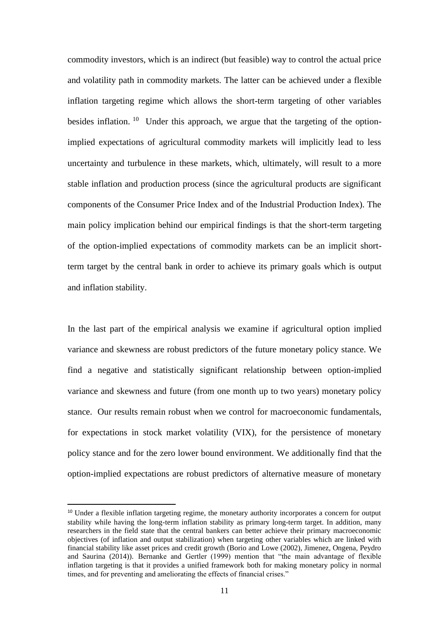commodity investors, which is an indirect (but feasible) way to control the actual price and volatility path in commodity markets. The latter can be achieved under a flexible inflation targeting regime which allows the short-term targeting of other variables besides inflation.  $10$  Under this approach, we argue that the targeting of the optionimplied expectations of agricultural commodity markets will implicitly lead to less uncertainty and turbulence in these markets, which, ultimately, will result to a more stable inflation and production process (since the agricultural products are significant components of the Consumer Price Index and of the Industrial Production Index). The main policy implication behind our empirical findings is that the short-term targeting of the option-implied expectations of commodity markets can be an implicit shortterm target by the central bank in order to achieve its primary goals which is output and inflation stability.

In the last part of the empirical analysis we examine if agricultural option implied variance and skewness are robust predictors of the future monetary policy stance. We find a negative and statistically significant relationship between option-implied variance and skewness and future (from one month up to two years) monetary policy stance. Our results remain robust when we control for macroeconomic fundamentals, for expectations in stock market volatility (VIX), for the persistence of monetary policy stance and for the zero lower bound environment. We additionally find that the option-implied expectations are robust predictors of alternative measure of monetary

<sup>&</sup>lt;sup>10</sup> Under a flexible inflation targeting regime, the monetary authority incorporates a concern for output stability while having the long-term inflation stability as primary long-term target. In addition, many researchers in the field state that the central bankers can better achieve their primary macroeconomic objectives (of inflation and output stabilization) when targeting other variables which are linked with financial stability like asset prices and credit growth (Borio and Lowe (2002), Jimenez, Ongena, Peydro and Saurina (2014)). Bernanke and Gertler (1999) mention that "the main advantage of flexible inflation targeting is that it provides a unified framework both for making monetary policy in normal times, and for preventing and ameliorating the effects of financial crises."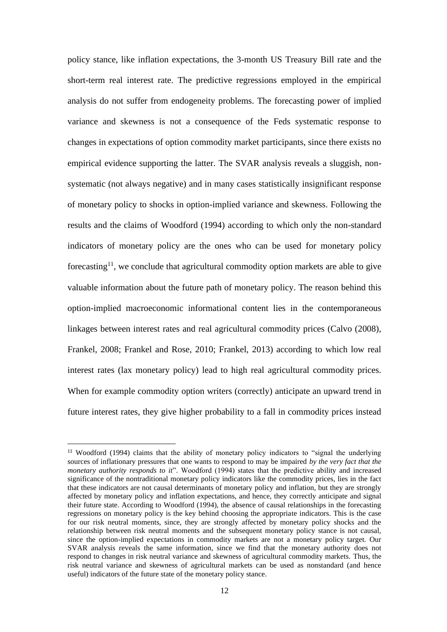policy stance, like inflation expectations, the 3-month US Treasury Bill rate and the short-term real interest rate. The predictive regressions employed in the empirical analysis do not suffer from endogeneity problems. The forecasting power of implied variance and skewness is not a consequence of the Feds systematic response to changes in expectations of option commodity market participants, since there exists no empirical evidence supporting the latter. The SVAR analysis reveals a sluggish, nonsystematic (not always negative) and in many cases statistically insignificant response of monetary policy to shocks in option-implied variance and skewness. Following the results and the claims of Woodford (1994) according to which only the non-standard indicators of monetary policy are the ones who can be used for monetary policy forecasting<sup>11</sup>, we conclude that agricultural commodity option markets are able to give valuable information about the future path of monetary policy. The reason behind this option-implied macroeconomic informational content lies in the contemporaneous linkages between interest rates and real agricultural commodity prices (Calvo (2008), Frankel, 2008; Frankel and Rose, 2010; Frankel, 2013) according to which low real interest rates (lax monetary policy) lead to high real agricultural commodity prices. When for example commodity option writers (correctly) anticipate an upward trend in future interest rates, they give higher probability to a fall in commodity prices instead

<sup>11</sup> Woodford (1994) claims that the ability of monetary policy indicators to "signal the underlying sources of inflationary pressures that one wants to respond to may be impaired *by the very fact that the monetary authority responds to it*". Woodford (1994) states that the predictive ability and increased significance of the nontraditional monetary policy indicators like the commodity prices, lies in the fact that these indicators are not causal determinants of monetary policy and inflation, but they are strongly affected by monetary policy and inflation expectations, and hence, they correctly anticipate and signal their future state. According to Woodford (1994), the absence of causal relationships in the forecasting regressions on monetary policy is the key behind choosing the appropriate indicators. This is the case for our risk neutral moments, since, they are strongly affected by monetary policy shocks and the relationship between risk neutral moments and the subsequent monetary policy stance is not causal, since the option-implied expectations in commodity markets are not a monetary policy target. Our SVAR analysis reveals the same information, since we find that the monetary authority does not respond to changes in risk neutral variance and skewness of agricultural commodity markets. Thus, the risk neutral variance and skewness of agricultural markets can be used as nonstandard (and hence useful) indicators of the future state of the monetary policy stance.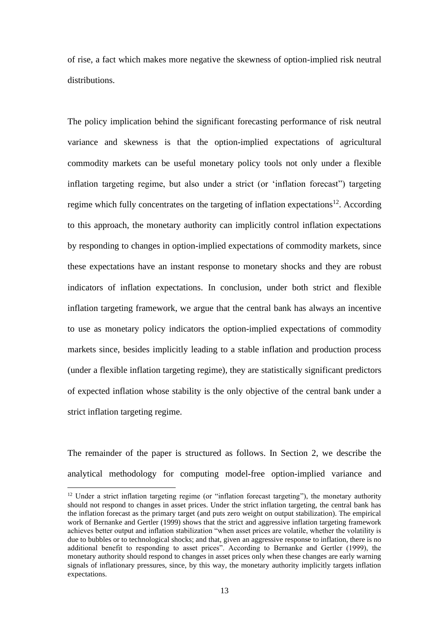of rise, a fact which makes more negative the skewness of option-implied risk neutral distributions.

The policy implication behind the significant forecasting performance of risk neutral variance and skewness is that the option-implied expectations of agricultural commodity markets can be useful monetary policy tools not only under a flexible inflation targeting regime, but also under a strict (or 'inflation forecast") targeting regime which fully concentrates on the targeting of inflation expectations<sup>12</sup>. According to this approach, the monetary authority can implicitly control inflation expectations by responding to changes in option-implied expectations of commodity markets, since these expectations have an instant response to monetary shocks and they are robust indicators of inflation expectations. In conclusion, under both strict and flexible inflation targeting framework, we argue that the central bank has always an incentive to use as monetary policy indicators the option-implied expectations of commodity markets since, besides implicitly leading to a stable inflation and production process (under a flexible inflation targeting regime), they are statistically significant predictors of expected inflation whose stability is the only objective of the central bank under a strict inflation targeting regime.

The remainder of the paper is structured as follows. In Section 2, we describe the analytical methodology for computing model-free option-implied variance and

<sup>&</sup>lt;sup>12</sup> Under a strict inflation targeting regime (or "inflation forecast targeting"), the monetary authority should not respond to changes in asset prices. Under the strict inflation targeting, the central bank has the inflation forecast as the primary target (and puts zero weight on output stabilization). The empirical work of Bernanke and Gertler (1999) shows that the strict and aggressive inflation targeting framework achieves better output and inflation stabilization "when asset prices are volatile, whether the volatility is due to bubbles or to technological shocks; and that, given an aggressive response to inflation, there is no additional benefit to responding to asset prices". According to Bernanke and Gertler (1999), the monetary authority should respond to changes in asset prices only when these changes are early warning signals of inflationary pressures, since, by this way, the monetary authority implicitly targets inflation expectations.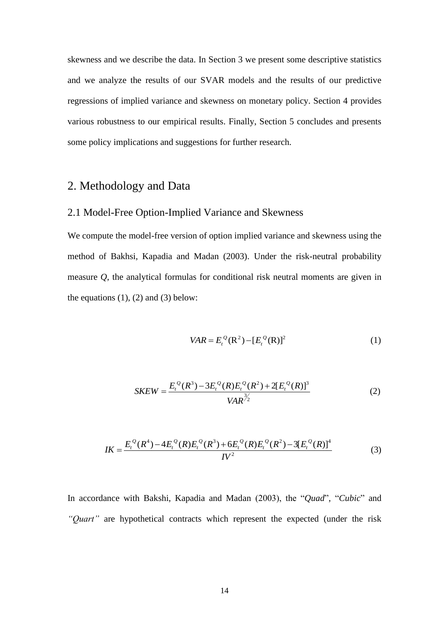skewness and we describe the data. In Section 3 we present some descriptive statistics and we analyze the results of our SVAR models and the results of our predictive regressions of implied variance and skewness on monetary policy. Section 4 provides various robustness to our empirical results. Finally, Section 5 concludes and presents some policy implications and suggestions for further research.

# 2. Methodology and Data

# 2.1 Model-Free Option-Implied Variance and Skewness

We compute the model-free version of option implied variance and skewness using the method of Bakhsi, Kapadia and Madan (2003). Under the risk-neutral probability measure *Q*, the analytical formulas for conditional risk neutral moments are given in the equations  $(1)$ ,  $(2)$  and  $(3)$  below:

$$
VAR = E_t^{\mathcal{Q}}(\mathbf{R}^2) - [E_t^{\mathcal{Q}}(\mathbf{R})]^2
$$
 (1)

$$
SKEW = \frac{E_t^Q(R^3) - 3E_t^Q(R)E_t^Q(R^2) + 2[E_t^Q(R)]^3}{VAR^{3/2}}
$$
(2)

$$
IK = \frac{E_t^Q(R^4) - 4E_t^Q(R)E_t^Q(R^3) + 6E_t^Q(R)E_t^Q(R^2) - 3[E_t^Q(R)]^4}{IV^2}
$$
(3)

In accordance with Bakshi, Kapadia and Madan (2003), the "*Quad*", "*Cubic*" and *"Quart"* are hypothetical contracts which represent the expected (under the risk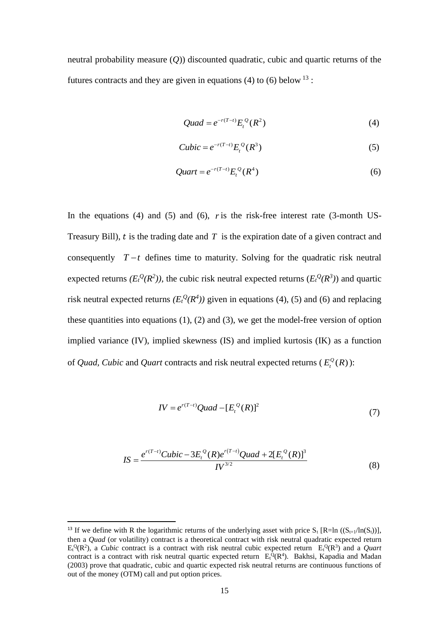neutral probability measure (*Q*)) discounted quadratic, cubic and quartic returns of the futures contracts and they are given in equations (4) to (6) below  $^{13}$ :

$$
Quad = e^{-r(T-t)} E_t^Q(R^2)
$$
\n(4)

$$
Cubic = e^{-r(T-t)} E_t^Q(R^3)
$$
 (5)

$$
Quart = e^{-r(T-t)} E_t^Q(R^4)
$$
\n<sup>(6)</sup>

In the equations (4) and (5) and (6), *r* is the risk-free interest rate (3-month US-Treasury Bill),  $t$  is the trading date and  $T$  is the expiration date of a given contract and consequently  $T - t$  defines time to maturity. Solving for the quadratic risk neutral expected returns  $(E_t^Q(R^2))$ , the cubic risk neutral expected returns  $(E_t^Q(R^3))$  and quartic risk neutral expected returns  $(E_t^Q(R^4))$  given in equations (4), (5) and (6) and replacing these quantities into equations  $(1)$ ,  $(2)$  and  $(3)$ , we get the model-free version of option implied variance (IV), implied skewness (IS) and implied kurtosis (IK) as a function of *Quad, Cubic* and *Quart* contracts and risk neutral expected returns ( $E_t^Q(R)$ ):

$$
IV = e^{r(T-t)}Quad - [E_t^Q(R)]^2
$$
\n(7)

$$
IS = \frac{e^{r(T-t)}Cubic - 3E_t^Q(R)e^{r(T-t)}Quad + 2[E_t^Q(R)]^3}{IV^{3/2}}
$$
(8)

<sup>&</sup>lt;sup>13</sup> If we define with R the logarithmic returns of the underlying asset with price  $S_t$  [R=ln ( $(S_{t+1}/\ln(S_t))$ ], then a *Quad* (or volatility) contract is a theoretical contract with risk neutral quadratic expected return  $E_t^Q(R^2)$ , a *Cubic* contract is a contract with risk neutral cubic expected return  $E_t^Q(R^3)$  and a *Quart* contract is a contract with risk neutral quartic expected return  $E_t^Q(R^4)$ . Bakhsi, Kapadia and Madan (2003) prove that quadratic, cubic and quartic expected risk neutral returns are continuous functions of out of the money (OTM) call and put option prices.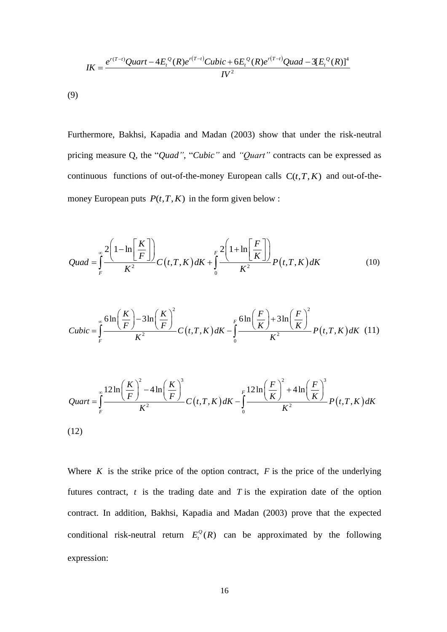$$
IK = \frac{e^{r(T-t)}Quart - 4E_t^Q(R)e^{r(T-t)}Cubic + 6E_t^Q(R)e^{r(T-t)}Quad - 3[E_t^Q(R)]^4}{IV^2}
$$

(9)

Furthermore, Bakhsi, Kapadia and Madan (2003) show that under the risk-neutral pricing measure Q, the "*Quad"*, "*Cubic"* and *"Quart"* contracts can be expressed as continuous functions of out-of-the-money European calls  $C(t, T, K)$  and out-of-themoney European puts  $P(t, T, K)$  in the form given below :

$$
Quad = \int_{F}^{\infty} \frac{2\left(1 - \ln\left[\frac{K}{F}\right]\right)}{K^{2}} C\left(t, T, K\right) dK + \int_{0}^{F} \frac{2\left(1 + \ln\left[\frac{F}{K}\right]\right)}{K^{2}} P\left(t, T, K\right) dK
$$
\n(10)

$$
Cubic = \int_{F}^{\infty} \frac{6\ln\left(\frac{K}{F}\right) - 3\ln\left(\frac{K}{F}\right)^{2}}{K^{2}} C\left(t, T, K\right) dK - \int_{0}^{F} \frac{6\ln\left(\frac{F}{K}\right) + 3\ln\left(\frac{F}{K}\right)^{2}}{K^{2}} P\left(t, T, K\right) dK \quad (11)
$$

(12)  
\n
$$
Quart = \int_{F}^{\infty} \frac{12 \ln \left(\frac{K}{F}\right)^{2} - 4 \ln \left(\frac{K}{F}\right)^{3}}{K^{2}} C(t, T, K) dK - \int_{0}^{F} \frac{12 \ln \left(\frac{F}{K}\right)^{2} + 4 \ln \left(\frac{F}{K}\right)^{3}}{K^{2}} P(t, T, K) dK
$$

Where  $K$  is the strike price of the option contract,  $F$  is the price of the underlying futures contract,  $t$  is the trading date and  $T$  is the expiration date of the option contract. In addition, Bakhsi, Kapadia and Madan (2003) prove that the expected conditional risk-neutral return  $E_t^Q(R)$  can be approximated by the following expression: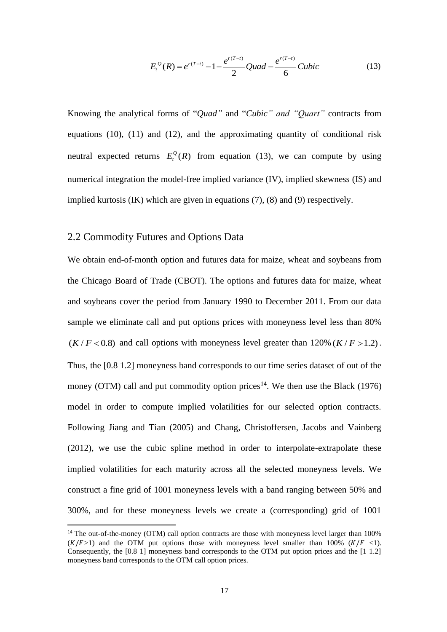$$
E_t^Q(R) = e^{r(T-t)} - 1 - \frac{e^{r(T-t)}}{2}Quad - \frac{e^{r(T-t)}}{6}Cubic
$$
 (13)

Knowing the analytical forms of "*Quad"* and "*Cubic" and "Quart"* contracts from equations (10), (11) and (12), and the approximating quantity of conditional risk neutral expected returns  $E_t^Q(R)$  from equation (13), we can compute by using numerical integration the model-free implied variance (IV), implied skewness (IS) and implied kurtosis (IK) which are given in equations (7), (8) and (9) respectively.

## 2.2 Commodity Futures and Options Data

 $\frac{e^{r(T-t)}}{2}$  *Quad*  $-\frac{e^{r(T-t)}}{6}$ <br>
<sup>2</sup> and "*Cubic*" *and*<br>
equation (13), we died variance (IV), im<br>
ied variance (IV), im<br>
quations (7), (8) and<br>
3 Data<br>
ces data for maize, we english one prices with moneyn<br>
prices We obtain end-of-month option and futures data for maize, wheat and soybeans from the Chicago Board of Trade (CBOT). The options and futures data for maize, wheat and soybeans cover the period from January 1990 to December 2011. From our data sample we eliminate call and put options prices with moneyness level less than 80%  $(K / F < 0.8)$  and call options with moneyness level greater than  $120\% (K / F > 1.2)$ . Thus, the [0.8 1.2] moneyness band corresponds to our time series dataset of out of the money (OTM) call and put commodity option prices<sup>14</sup>. We then use the Black (1976) model in order to compute implied volatilities for our selected option contracts. Following Jiang and Tian (2005) and Chang, Christoffersen, Jacobs and Vainberg (2012), we use the cubic spline method in order to interpolate-extrapolate these implied volatilities for each maturity across all the selected moneyness levels. We construct a fine grid of 1001 moneyness levels with a band ranging between 50% and 300%, and for these moneyness levels we create a (corresponding) grid of 1001

<sup>&</sup>lt;sup>14</sup> The out-of-the-money (OTM) call option contracts are those with moneyness level larger than 100%  $(K/F>1)$  and the OTM put options those with moneyness level smaller than 100%  $(K/F < 1)$ . Consequently, the [0.8 1] moneyness band corresponds to the OTM put option prices and the [1 1.2] moneyness band corresponds to the OTM call option prices.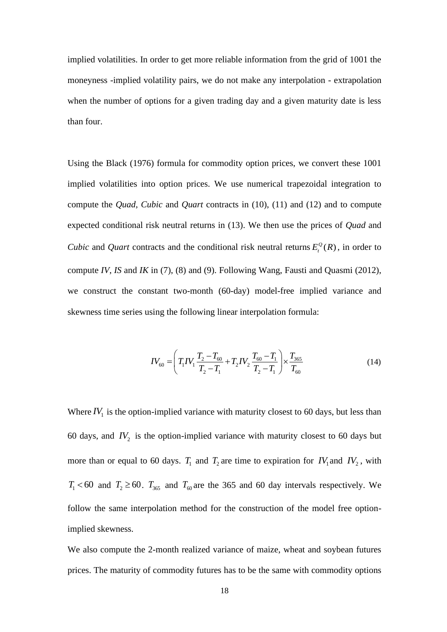implied volatilities. In order to get more reliable information from the grid of 1001 the moneyness -implied volatility pairs, we do not make any interpolation - extrapolation when the number of options for a given trading day and a given maturity date is less than four.

Using the Black (1976) formula for commodity option prices, we convert these 1001 implied volatilities into option prices. We use numerical trapezoidal integration to compute the *Quad*, *Cubic* and *Quart* contracts in (10), (11) and (12) and to compute expected conditional risk neutral returns in (13). We then use the prices of *Quad* and *Cubic* and *Quart* contracts and the conditional risk neutral returns  $E_t^Q(R)$ , in order to compute *IV*, *IS* and *IK* in (7), (8) and (9). Following Wang, Fausti and Quasmi (2012), we construct the constant two-month (60-day) model-free implied variance and skewness time series using the following linear interpolation formula:

$$
IV_{60} = \left(T_1 IV_1 \frac{T_2 - T_{60}}{T_2 - T_1} + T_2 IV_2 \frac{T_{60} - T_1}{T_2 - T_1}\right) \times \frac{T_{365}}{T_{60}}
$$
(14)

Where  $IV_1$  is the option-implied variance with maturity closest to 60 days, but less than 60 days, and  $IV_2$  is the option-implied variance with maturity closest to 60 days but more than or equal to 60 days.  $T_1$  and  $T_2$  are time to expiration for  $IV_1$  and  $IV_2$ , with  $T_1$  < 60 and  $T_2 \ge 60$ .  $T_{365}$  and  $T_{60}$  are the 365 and 60 day intervals respectively. We follow the same interpolation method for the construction of the model free optionimplied skewness.

We also compute the 2-month realized variance of maize, wheat and soybean futures prices. The maturity of commodity futures has to be the same with commodity options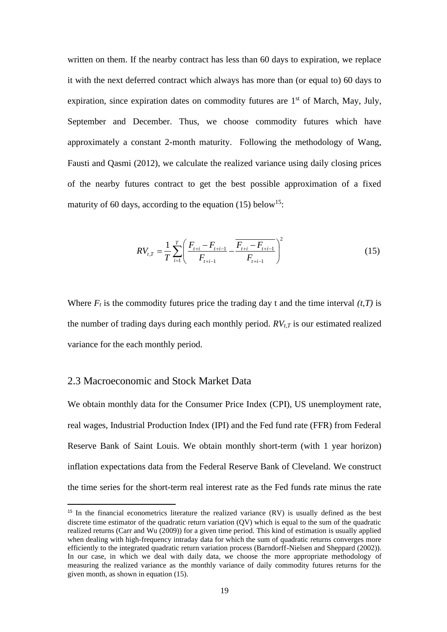written on them. If the nearby contract has less than 60 days to expiration, we replace it with the next deferred contract which always has more than (or equal to) 60 days to expiration, since expiration dates on commodity futures are 1<sup>st</sup> of March, May, July, September and December. Thus, we choose commodity futures which have approximately a constant 2-month maturity. Following the methodology of Wang, Fausti and Qasmi (2012), we calculate the realized variance using daily closing prices of the nearby futures contract to get the best possible approximation of a fixed maturity of 60 days, according to the equation  $(15)$  below<sup>15</sup>:

$$
RV_{t,T} = \frac{1}{T} \sum_{i=1}^{T} \left( \frac{F_{t+i} - F_{t+i-1}}{F_{t+i-1}} - \frac{F_{t+i} - F_{t+i-1}}{F_{t+i-1}} \right)^2
$$
(15)

Where  $F_t$  is the commodity futures price the trading day t and the time interval  $(t, T)$  is the number of trading days during each monthly period. *RVt,T* is our estimated realized variance for the each monthly period.

# 2.3 Macroeconomic and Stock Market Data

We obtain monthly data for the Consumer Price Index (CPI), US unemployment rate, real wages, Industrial Production Index (IPI) and the Fed fund rate (FFR) from Federal Reserve Bank of Saint Louis. We obtain monthly short-term (with 1 year horizon) inflation expectations data from the Federal Reserve Bank of Cleveland. We construct the time series for the short-term real interest rate as the Fed funds rate minus the rate

<sup>&</sup>lt;sup>15</sup> In the financial econometrics literature the realized variance (RV) is usually defined as the best discrete time estimator of the quadratic return variation (QV) which is equal to the sum of the quadratic realized returns (Carr and Wu (2009)) for a given time period. This kind of estimation is usually applied when dealing with high-frequency intraday data for which the sum of quadratic returns converges more efficiently to the integrated quadratic return variation process (Barndorff-Nielsen and Sheppard (2002)). In our case, in which we deal with daily data, we choose the more appropriate methodology of measuring the realized variance as the monthly variance of daily commodity futures returns for the given month, as shown in equation (15).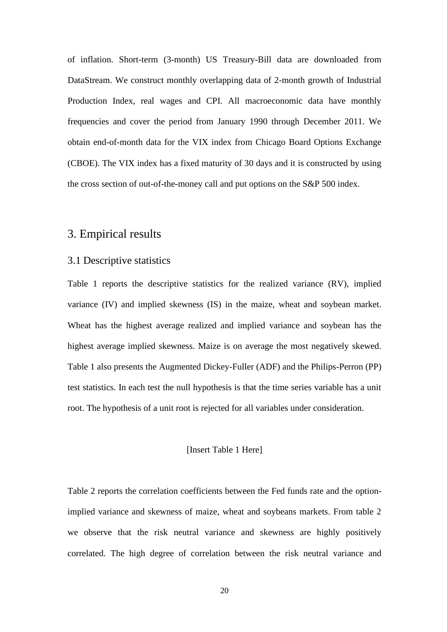of inflation. Short-term (3-month) US Treasury-Bill data are downloaded from DataStream. We construct monthly overlapping data of 2-month growth of Industrial Production Index, real wages and CPI. All macroeconomic data have monthly frequencies and cover the period from January 1990 through December 2011. We obtain end-of-month data for the VIX index from Chicago Board Options Exchange (CBOE). The VIX index has a fixed maturity of 30 days and it is constructed by using the cross section of out-of-the-money call and put options on the S&P 500 index.

# 3. Empirical results

# 3.1 Descriptive statistics

Table 1 reports the descriptive statistics for the realized variance (RV), implied variance (IV) and implied skewness (IS) in the maize, wheat and soybean market. Wheat has the highest average realized and implied variance and soybean has the highest average implied skewness. Maize is on average the most negatively skewed. Table 1 also presents the Augmented Dickey-Fuller (ADF) and the Philips-Perron (PP) test statistics. In each test the null hypothesis is that the time series variable has a unit root. The hypothesis of a unit root is rejected for all variables under consideration.

## [Insert Table 1 Here]

Table 2 reports the correlation coefficients between the Fed funds rate and the optionimplied variance and skewness of maize, wheat and soybeans markets. From table 2 we observe that the risk neutral variance and skewness are highly positively correlated. The high degree of correlation between the risk neutral variance and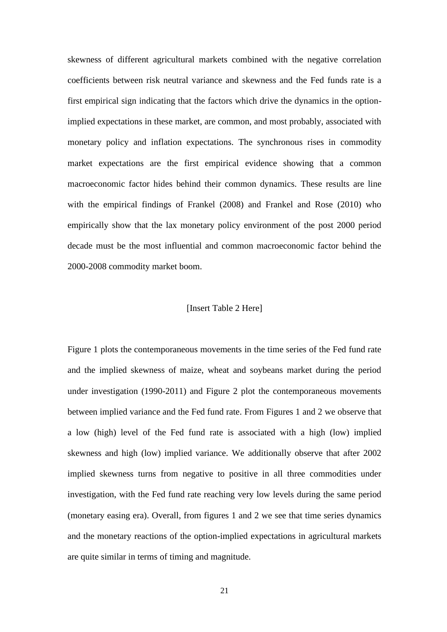skewness of different agricultural markets combined with the negative correlation coefficients between risk neutral variance and skewness and the Fed funds rate is a first empirical sign indicating that the factors which drive the dynamics in the optionimplied expectations in these market, are common, and most probably, associated with monetary policy and inflation expectations. The synchronous rises in commodity market expectations are the first empirical evidence showing that a common macroeconomic factor hides behind their common dynamics. These results are line with the empirical findings of Frankel (2008) and Frankel and Rose (2010) who empirically show that the lax monetary policy environment of the post 2000 period decade must be the most influential and common macroeconomic factor behind the 2000-2008 commodity market boom.

#### [Insert Table 2 Here]

Figure 1 plots the contemporaneous movements in the time series of the Fed fund rate and the implied skewness of maize, wheat and soybeans market during the period under investigation (1990-2011) and Figure 2 plot the contemporaneous movements between implied variance and the Fed fund rate. From Figures 1 and 2 we observe that a low (high) level of the Fed fund rate is associated with a high (low) implied skewness and high (low) implied variance. We additionally observe that after 2002 implied skewness turns from negative to positive in all three commodities under investigation, with the Fed fund rate reaching very low levels during the same period (monetary easing era). Overall, from figures 1 and 2 we see that time series dynamics and the monetary reactions of the option-implied expectations in agricultural markets are quite similar in terms of timing and magnitude.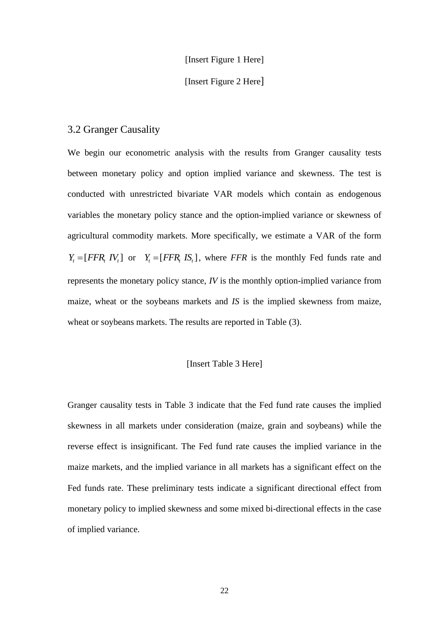#### [Insert Figure 1 Here]

# [Insert Figure 2 Here]

# 3.2 Granger Causality

We begin our econometric analysis with the results from Granger causality tests between monetary policy and option implied variance and skewness. The test is conducted with unrestricted bivariate VAR models which contain as endogenous variables the monetary policy stance and the option-implied variance or skewness of agricultural commodity markets. More specifically, we estimate a VAR of the form  $Y_t = [FFR_t IV_t]$  or  $Y_t = [FFR_t IS_t]$ , where *FFR* is the monthly Fed funds rate and represents the monetary policy stance, *IV* is the monthly option-implied variance from maize, wheat or the soybeans markets and *IS* is the implied skewness from maize, wheat or soybeans markets. The results are reported in Table (3).

## [Insert Table 3 Here]

Granger causality tests in Table 3 indicate that the Fed fund rate causes the implied skewness in all markets under consideration (maize, grain and soybeans) while the reverse effect is insignificant. The Fed fund rate causes the implied variance in the maize markets, and the implied variance in all markets has a significant effect on the Fed funds rate. These preliminary tests indicate a significant directional effect from monetary policy to implied skewness and some mixed bi-directional effects in the case of implied variance.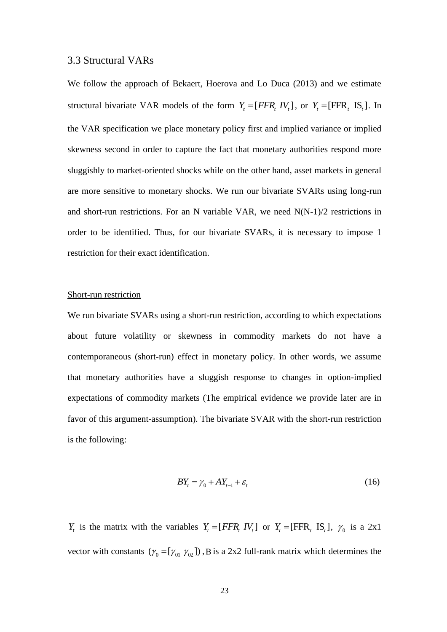## 3.3 Structural VARs

We follow the approach of Bekaert, Hoerova and Lo Duca (2013) and we estimate structural bivariate VAR models of the form  $Y_t = [FFR_t IV_t]$ , or  $Y_t = [FFR_t IS_t]$ . In the VAR specification we place monetary policy first and implied variance or implied skewness second in order to capture the fact that monetary authorities respond more sluggishly to market-oriented shocks while on the other hand, asset markets in general are more sensitive to monetary shocks. We run our bivariate SVARs using long-run and short-run restrictions. For an N variable VAR, we need N(N-1)/2 restrictions in order to be identified. Thus, for our bivariate SVARs, it is necessary to impose 1 restriction for their exact identification.

# Short-run restriction

We run bivariate SVARs using a short-run restriction, according to which expectations about future volatility or skewness in commodity markets do not have a contemporaneous (short-run) effect in monetary policy. In other words, we assume that monetary authorities have a sluggish response to changes in option-implied expectations of commodity markets (The empirical evidence we provide later are in favor of this argument-assumption). The bivariate SVAR with the short-run restriction is the following:

$$
BYt = \gamma_0 + AYt-1 + \varepsilon_t
$$
 (16)

*Y<sub>t</sub>* is the matrix with the variables  $Y_t = [FFR_t IV_t]$  or  $Y_t = [FFR_t IS_t]$ ,  $Y_0$  is a 2x1 vector with constants  $(\gamma_0 = [\gamma_{01} \gamma_{02}])$ , B is a 2x2 full-rank matrix which determines the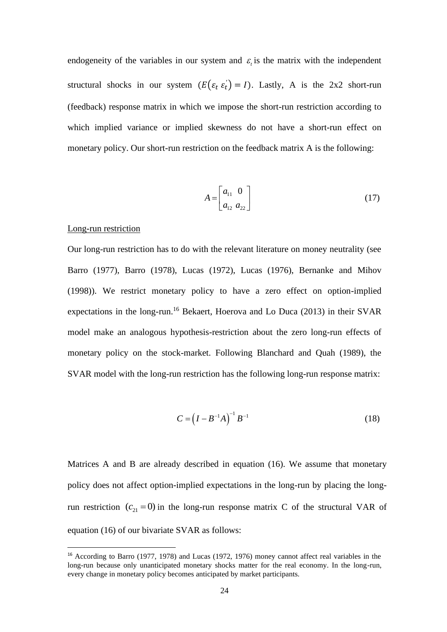endogeneity of the variables in our system and  $\varepsilon$ <sub>i</sub> is the matrix with the independent structural shocks in our system  $(E(\varepsilon_t \varepsilon_t) = I)$ . Lastly, A is the 2x2 short-run (feedback) response matrix in which we impose the short-run restriction according to which implied variance or implied skewness do not have a short-run effect on monetary policy. Our short-run restriction on the feedback matrix A is the following:

$$
A = \begin{bmatrix} a_{11} & 0 \\ a_{12} & a_{22} \end{bmatrix} \tag{17}
$$

#### Long-run restriction

Our long-run restriction has to do with the relevant literature on money neutrality (see Barro (1977), Barro (1978), Lucas (1972), Lucas (1976), Bernanke and Mihov (1998)). We restrict monetary policy to have a zero effect on option-implied expectations in the long-run.<sup>16</sup> Bekaert, Hoerova and Lo Duca (2013) in their SVAR model make an analogous hypothesis-restriction about the zero long-run effects of monetary policy on the stock-market. Following Blanchard and Quah (1989), the SVAR model with the long-run restriction has the following long-run response matrix:

$$
C = (I - B^{-1}A)^{-1}B^{-1}
$$
 (18)

Matrices A and B are already described in equation (16). We assume that monetary policy does not affect option-implied expectations in the long-run by placing the longrun restriction  $(c_{21} = 0)$  in the long-run response matrix C of the structural VAR of equation (16) of our bivariate SVAR as follows:

<sup>&</sup>lt;sup>16</sup> According to Barro (1977, 1978) and Lucas (1972, 1976) money cannot affect real variables in the long-run because only unanticipated monetary shocks matter for the real economy. In the long-run, every change in monetary policy becomes anticipated by market participants.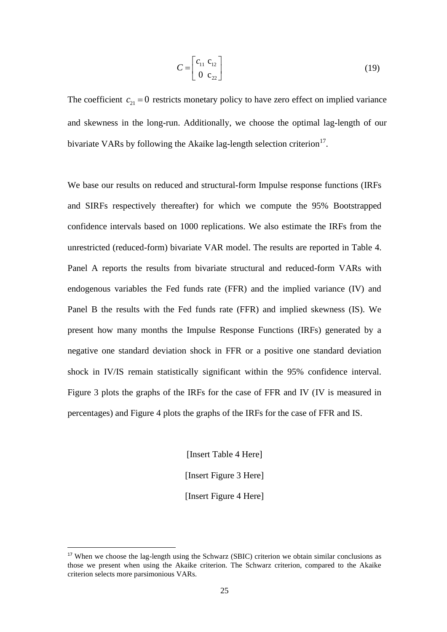$$
C = \begin{bmatrix} c_{11} & c_{12} \\ 0 & c_{22} \end{bmatrix} \tag{19}
$$

The coefficient  $c_{21} = 0$  restricts monetary policy to have zero effect on implied variance and skewness in the long-run. Additionally, we choose the optimal lag-length of our bivariate VARs by following the Akaike lag-length selection criterion $17$ .

We base our results on reduced and structural-form Impulse response functions (IRFs and SIRFs respectively thereafter) for which we compute the 95% Bootstrapped confidence intervals based on 1000 replications. We also estimate the IRFs from the unrestricted (reduced-form) bivariate VAR model. The results are reported in Table 4. Panel A reports the results from bivariate structural and reduced-form VARs with endogenous variables the Fed funds rate (FFR) and the implied variance (IV) and Panel B the results with the Fed funds rate (FFR) and implied skewness (IS). We present how many months the Impulse Response Functions (IRFs) generated by a negative one standard deviation shock in FFR or a positive one standard deviation shock in IV/IS remain statistically significant within the 95% confidence interval. Figure 3 plots the graphs of the IRFs for the case of FFR and IV (IV is measured in percentages) and Figure 4 plots the graphs of the IRFs for the case of FFR and IS.

> [Insert Table 4 Here] [Insert Figure 3 Here] [Insert Figure 4 Here]

<sup>&</sup>lt;sup>17</sup> When we choose the lag-length using the Schwarz (SBIC) criterion we obtain similar conclusions as those we present when using the Akaike criterion. The Schwarz criterion, compared to the Akaike criterion selects more parsimonious VARs.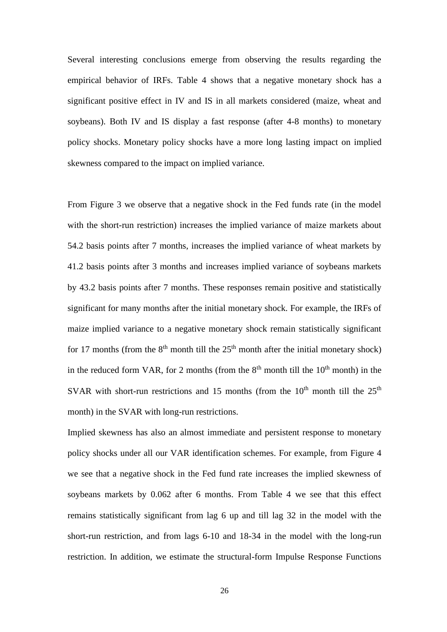Several interesting conclusions emerge from observing the results regarding the empirical behavior of IRFs. Table 4 shows that a negative monetary shock has a significant positive effect in IV and IS in all markets considered (maize, wheat and soybeans). Both IV and IS display a fast response (after 4-8 months) to monetary policy shocks. Monetary policy shocks have a more long lasting impact on implied skewness compared to the impact on implied variance.

From Figure 3 we observe that a negative shock in the Fed funds rate (in the model with the short-run restriction) increases the implied variance of maize markets about 54.2 basis points after 7 months, increases the implied variance of wheat markets by 41.2 basis points after 3 months and increases implied variance of soybeans markets by 43.2 basis points after 7 months. These responses remain positive and statistically significant for many months after the initial monetary shock. For example, the IRFs of maize implied variance to a negative monetary shock remain statistically significant for 17 months (from the  $8<sup>th</sup>$  month till the  $25<sup>th</sup>$  month after the initial monetary shock) in the reduced form VAR, for 2 months (from the  $8<sup>th</sup>$  month till the  $10<sup>th</sup>$  month) in the SVAR with short-run restrictions and 15 months (from the  $10<sup>th</sup>$  month till the  $25<sup>th</sup>$ month) in the SVAR with long-run restrictions.

Implied skewness has also an almost immediate and persistent response to monetary policy shocks under all our VAR identification schemes. For example, from Figure 4 we see that a negative shock in the Fed fund rate increases the implied skewness of soybeans markets by 0.062 after 6 months. From Table 4 we see that this effect remains statistically significant from lag 6 up and till lag 32 in the model with the short-run restriction, and from lags 6-10 and 18-34 in the model with the long-run restriction. In addition, we estimate the structural-form Impulse Response Functions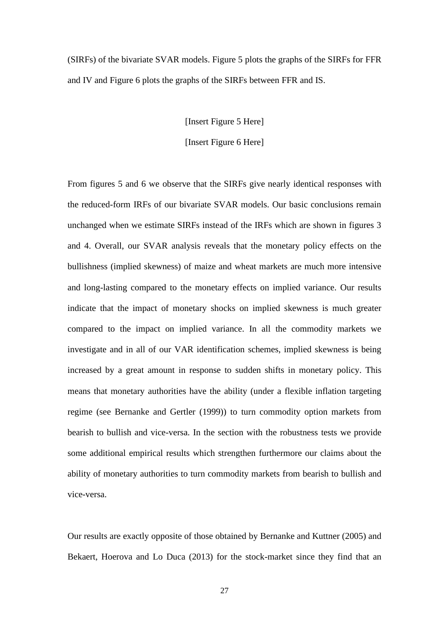(SIRFs) of the bivariate SVAR models. Figure 5 plots the graphs of the SIRFs for FFR and IV and Figure 6 plots the graphs of the SIRFs between FFR and IS.

[Insert Figure 5 Here]

[Insert Figure 6 Here]

From figures 5 and 6 we observe that the SIRFs give nearly identical responses with the reduced-form IRFs of our bivariate SVAR models. Our basic conclusions remain unchanged when we estimate SIRFs instead of the IRFs which are shown in figures 3 and 4. Overall, our SVAR analysis reveals that the monetary policy effects on the bullishness (implied skewness) of maize and wheat markets are much more intensive and long-lasting compared to the monetary effects on implied variance. Our results indicate that the impact of monetary shocks on implied skewness is much greater compared to the impact on implied variance. In all the commodity markets we investigate and in all of our VAR identification schemes, implied skewness is being increased by a great amount in response to sudden shifts in monetary policy. This means that monetary authorities have the ability (under a flexible inflation targeting regime (see Bernanke and Gertler (1999)) to turn commodity option markets from bearish to bullish and vice-versa. In the section with the robustness tests we provide some additional empirical results which strengthen furthermore our claims about the ability of monetary authorities to turn commodity markets from bearish to bullish and vice-versa.

Our results are exactly opposite of those obtained by Bernanke and Kuttner (2005) and Bekaert, Hoerova and Lo Duca (2013) for the stock-market since they find that an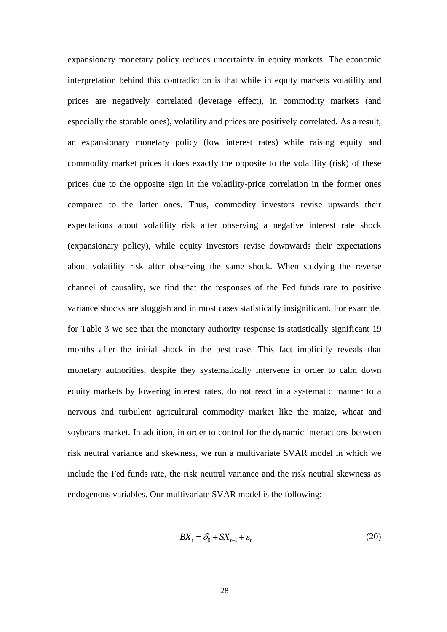expansionary monetary policy reduces uncertainty in equity markets. The economic interpretation behind this contradiction is that while in equity markets volatility and prices are negatively correlated (leverage effect), in commodity markets (and especially the storable ones), volatility and prices are positively correlated. As a result, an expansionary monetary policy (low interest rates) while raising equity and commodity market prices it does exactly the opposite to the volatility (risk) of these prices due to the opposite sign in the volatility-price correlation in the former ones compared to the latter ones. Thus, commodity investors revise upwards their expectations about volatility risk after observing a negative interest rate shock (expansionary policy), while equity investors revise downwards their expectations about volatility risk after observing the same shock. When studying the reverse channel of causality, we find that the responses of the Fed funds rate to positive variance shocks are sluggish and in most cases statistically insignificant. For example, for Table 3 we see that the monetary authority response is statistically significant 19 months after the initial shock in the best case. This fact implicitly reveals that monetary authorities, despite they systematically intervene in order to calm down equity markets by lowering interest rates, do not react in a systematic manner to a nervous and turbulent agricultural commodity market like the maize, wheat and soybeans market. In addition, in order to control for the dynamic interactions between risk neutral variance and skewness, we run a multivariate SVAR model in which we include the Fed funds rate, the risk neutral variance and the risk neutral skewness as endogenous variables. Our multivariate SVAR model is the following:

$$
BX_t = \delta_0 + SX_{t-1} + \varepsilon_t \tag{20}
$$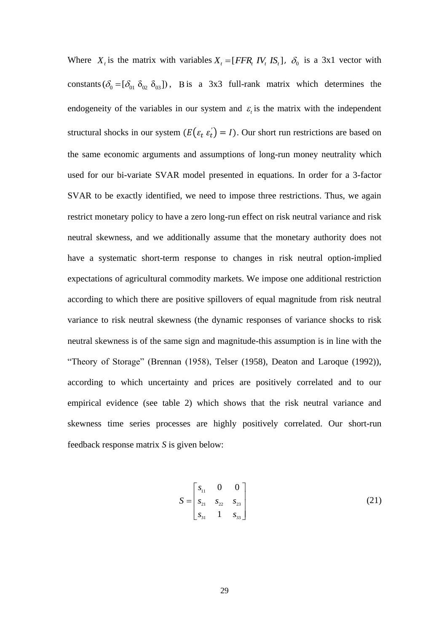Where  $X_t$  is the matrix with variables  $X_t = [FFR_t IV_t IS_t]$ ,  $\delta_0$  is a 3x1 vector with constants  $(\delta_0 = [\delta_{01} \ \delta_{02} \ \delta_{03}])$ , B is a 3x3 full-rank matrix which determines the endogeneity of the variables in our system and  $\varepsilon$  is the matrix with the independent structural shocks in our system  $(E(\varepsilon_t \varepsilon_t) = I)$ . Our short run restrictions are based on the same economic arguments and assumptions of long-run money neutrality which used for our bi-variate SVAR model presented in equations. In order for a 3-factor SVAR to be exactly identified, we need to impose three restrictions. Thus, we again restrict monetary policy to have a zero long-run effect on risk neutral variance and risk neutral skewness, and we additionally assume that the monetary authority does not have a systematic short-term response to changes in risk neutral option-implied expectations of agricultural commodity markets. We impose one additional restriction according to which there are positive spillovers of equal magnitude from risk neutral variance to risk neutral skewness (the dynamic responses of variance shocks to risk neutral skewness is of the same sign and magnitude-this assumption is in line with the "Theory of Storage" (Brennan (1958), Telser (1958), Deaton and Laroque (1992)), according to which uncertainty and prices are positively correlated and to our empirical evidence (see table 2) which shows that the risk neutral variance and skewness time series processes are highly positively correlated. Our short-run feedback response matrix *S* is given below:

$$
S = \begin{bmatrix} s_{11} & 0 & 0 \\ s_{21} & s_{22} & s_{23} \\ s_{31} & 1 & s_{33} \end{bmatrix}
$$
 (21)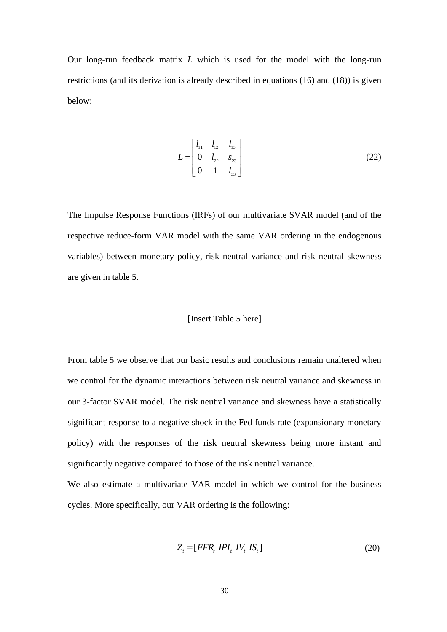Our long-run feedback matrix *L* which is used for the model with the long-run restrictions (and its derivation is already described in equations (16) and (18)) is given below:

$$
L = \begin{bmatrix} l_{11} & l_{12} & l_{13} \\ 0 & l_{22} & s_{23} \\ 0 & 1 & l_{33} \end{bmatrix}
$$
 (22)

The Impulse Response Functions (IRFs) of our multivariate SVAR model (and of the respective reduce-form VAR model with the same VAR ordering in the endogenous variables) between monetary policy, risk neutral variance and risk neutral skewness are given in table 5.

#### [Insert Table 5 here]

From table 5 we observe that our basic results and conclusions remain unaltered when we control for the dynamic interactions between risk neutral variance and skewness in our 3-factor SVAR model. The risk neutral variance and skewness have a statistically significant response to a negative shock in the Fed funds rate (expansionary monetary policy) with the responses of the risk neutral skewness being more instant and significantly negative compared to those of the risk neutral variance.

We also estimate a multivariate VAR model in which we control for the business cycles. More specifically, our VAR ordering is the following:

$$
Z_t = [FFR_t IPI_t IV_t IS_t]
$$
\n(20)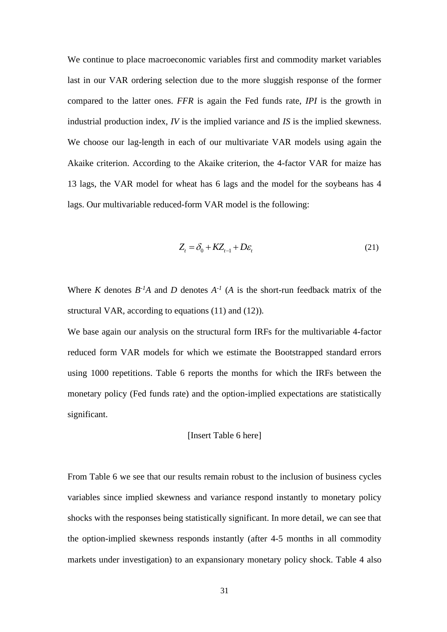We continue to place macroeconomic variables first and commodity market variables last in our VAR ordering selection due to the more sluggish response of the former compared to the latter ones. *FFR* is again the Fed funds rate, *IPI* is the growth in industrial production index, *IV* is the implied variance and *IS* is the implied skewness. We choose our lag-length in each of our multivariate VAR models using again the Akaike criterion. According to the Akaike criterion, the 4-factor VAR for maize has 13 lags, the VAR model for wheat has 6 lags and the model for the soybeans has 4 lags. Our multivariable reduced-form VAR model is the following:

$$
Z_t = \delta_0 + KZ_{t-1} + D\varepsilon_t
$$
\n(21)

Where *K* denotes  $B^{-1}A$  and *D* denotes  $A^{-1}$  (*A* is the short-run feedback matrix of the structural VAR, according to equations (11) and (12)).

We base again our analysis on the structural form IRFs for the multivariable 4-factor reduced form VAR models for which we estimate the Bootstrapped standard errors using 1000 repetitions. Table 6 reports the months for which the IRFs between the monetary policy (Fed funds rate) and the option-implied expectations are statistically significant.

[Insert Table 6 here]

From Table 6 we see that our results remain robust to the inclusion of business cycles variables since implied skewness and variance respond instantly to monetary policy shocks with the responses being statistically significant. In more detail, we can see that the option-implied skewness responds instantly (after 4-5 months in all commodity markets under investigation) to an expansionary monetary policy shock. Table 4 also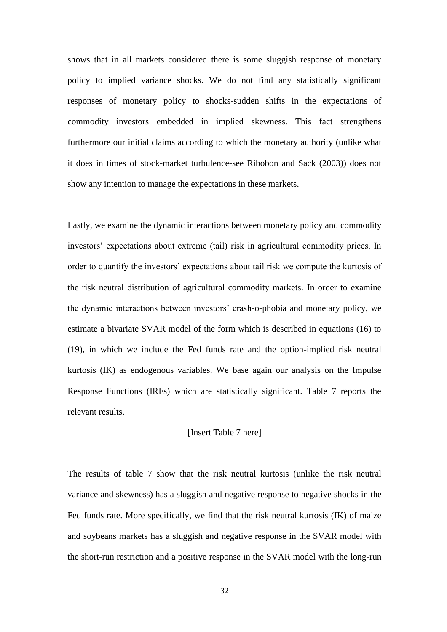shows that in all markets considered there is some sluggish response of monetary policy to implied variance shocks. We do not find any statistically significant responses of monetary policy to shocks-sudden shifts in the expectations of commodity investors embedded in implied skewness. This fact strengthens furthermore our initial claims according to which the monetary authority (unlike what it does in times of stock-market turbulence-see Ribobon and Sack (2003)) does not show any intention to manage the expectations in these markets.

Lastly, we examine the dynamic interactions between monetary policy and commodity investors' expectations about extreme (tail) risk in agricultural commodity prices. In order to quantify the investors' expectations about tail risk we compute the kurtosis of the risk neutral distribution of agricultural commodity markets. In order to examine the dynamic interactions between investors' crash-o-phobia and monetary policy, we estimate a bivariate SVAR model of the form which is described in equations (16) to (19), in which we include the Fed funds rate and the option-implied risk neutral kurtosis (IK) as endogenous variables. We base again our analysis on the Impulse Response Functions (IRFs) which are statistically significant. Table 7 reports the relevant results.

#### [Insert Table 7 here]

The results of table 7 show that the risk neutral kurtosis (unlike the risk neutral variance and skewness) has a sluggish and negative response to negative shocks in the Fed funds rate. More specifically, we find that the risk neutral kurtosis (IK) of maize and soybeans markets has a sluggish and negative response in the SVAR model with the short-run restriction and a positive response in the SVAR model with the long-run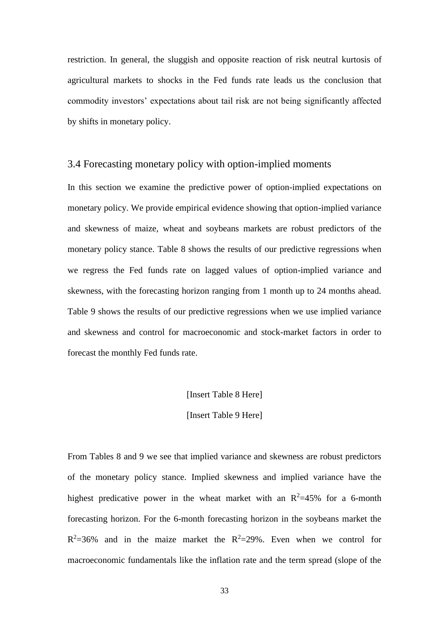restriction. In general, the sluggish and opposite reaction of risk neutral kurtosis of agricultural markets to shocks in the Fed funds rate leads us the conclusion that commodity investors' expectations about tail risk are not being significantly affected by shifts in monetary policy.

## 3.4 Forecasting monetary policy with option-implied moments

In this section we examine the predictive power of option-implied expectations on monetary policy. We provide empirical evidence showing that option-implied variance and skewness of maize, wheat and soybeans markets are robust predictors of the monetary policy stance. Table 8 shows the results of our predictive regressions when we regress the Fed funds rate on lagged values of option-implied variance and skewness, with the forecasting horizon ranging from 1 month up to 24 months ahead. Table 9 shows the results of our predictive regressions when we use implied variance and skewness and control for macroeconomic and stock-market factors in order to forecast the monthly Fed funds rate.

# [Insert Table 8 Here]

# [Insert Table 9 Here]

From Tables 8 and 9 we see that implied variance and skewness are robust predictors of the monetary policy stance. Implied skewness and implied variance have the highest predicative power in the wheat market with an  $R^2 = 45\%$  for a 6-month forecasting horizon. For the 6-month forecasting horizon in the soybeans market the  $R^2$ =36% and in the maize market the  $R^2$ =29%. Even when we control for macroeconomic fundamentals like the inflation rate and the term spread (slope of the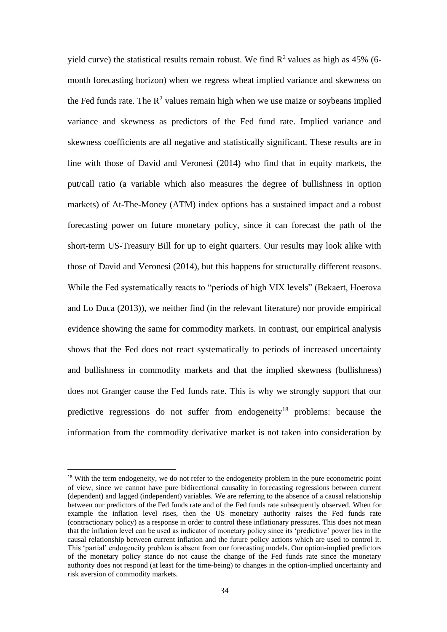yield curve) the statistical results remain robust. We find  $\mathbb{R}^2$  values as high as 45% (6month forecasting horizon) when we regress wheat implied variance and skewness on the Fed funds rate. The  $R^2$  values remain high when we use maize or soybeans implied variance and skewness as predictors of the Fed fund rate. Implied variance and skewness coefficients are all negative and statistically significant. These results are in line with those of David and Veronesi (2014) who find that in equity markets, the put/call ratio (a variable which also measures the degree of bullishness in option markets) of At-The-Money (ATM) index options has a sustained impact and a robust forecasting power on future monetary policy, since it can forecast the path of the short-term US-Treasury Bill for up to eight quarters. Our results may look alike with those of David and Veronesi (2014), but this happens for structurally different reasons. While the Fed systematically reacts to "periods of high VIX levels" (Bekaert, Hoerova and Lo Duca (2013)), we neither find (in the relevant literature) nor provide empirical evidence showing the same for commodity markets. In contrast, our empirical analysis shows that the Fed does not react systematically to periods of increased uncertainty and bullishness in commodity markets and that the implied skewness (bullishness) does not Granger cause the Fed funds rate. This is why we strongly support that our predictive regressions do not suffer from endogeneity<sup>18</sup> problems: because the information from the commodity derivative market is not taken into consideration by

<sup>&</sup>lt;sup>18</sup> With the term endogeneity, we do not refer to the endogeneity problem in the pure econometric point of view, since we cannot have pure bidirectional causality in forecasting regressions between current (dependent) and lagged (independent) variables. We are referring to the absence of a causal relationship between our predictors of the Fed funds rate and of the Fed funds rate subsequently observed. When for example the inflation level rises, then the US monetary authority raises the Fed funds rate (contractionary policy) as a response in order to control these inflationary pressures. This does not mean that the inflation level can be used as indicator of monetary policy since its 'predictive' power lies in the causal relationship between current inflation and the future policy actions which are used to control it. This 'partial' endogeneity problem is absent from our forecasting models. Our option-implied predictors of the monetary policy stance do not cause the change of the Fed funds rate since the monetary authority does not respond (at least for the time-being) to changes in the option-implied uncertainty and risk aversion of commodity markets.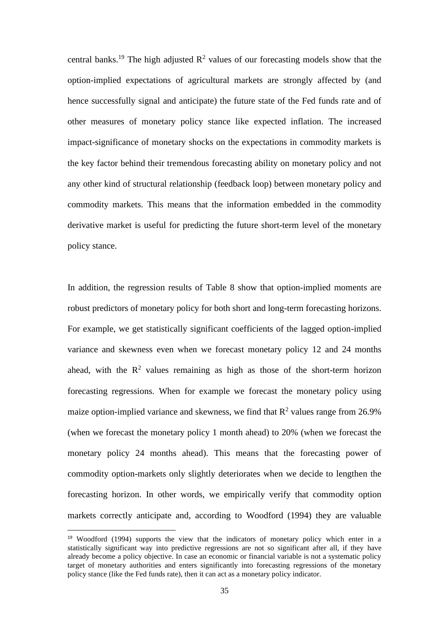central banks.<sup>19</sup> The high adjusted  $\mathbb{R}^2$  values of our forecasting models show that the option-implied expectations of agricultural markets are strongly affected by (and hence successfully signal and anticipate) the future state of the Fed funds rate and of other measures of monetary policy stance like expected inflation. The increased impact-significance of monetary shocks on the expectations in commodity markets is the key factor behind their tremendous forecasting ability on monetary policy and not any other kind of structural relationship (feedback loop) between monetary policy and commodity markets. This means that the information embedded in the commodity derivative market is useful for predicting the future short-term level of the monetary policy stance.

In addition, the regression results of Table 8 show that option-implied moments are robust predictors of monetary policy for both short and long-term forecasting horizons. For example, we get statistically significant coefficients of the lagged option-implied variance and skewness even when we forecast monetary policy 12 and 24 months ahead, with the  $\mathbb{R}^2$  values remaining as high as those of the short-term horizon forecasting regressions. When for example we forecast the monetary policy using maize option-implied variance and skewness, we find that  $R^2$  values range from 26.9% (when we forecast the monetary policy 1 month ahead) to 20% (when we forecast the monetary policy 24 months ahead). This means that the forecasting power of commodity option-markets only slightly deteriorates when we decide to lengthen the forecasting horizon. In other words, we empirically verify that commodity option markets correctly anticipate and, according to Woodford (1994) they are valuable

<sup>&</sup>lt;sup>19</sup> Woodford (1994) supports the view that the indicators of monetary policy which enter in a statistically significant way into predictive regressions are not so significant after all, if they have already become a policy objective. In case an economic or financial variable is not a systematic policy target of monetary authorities and enters significantly into forecasting regressions of the monetary policy stance (like the Fed funds rate), then it can act as a monetary policy indicator.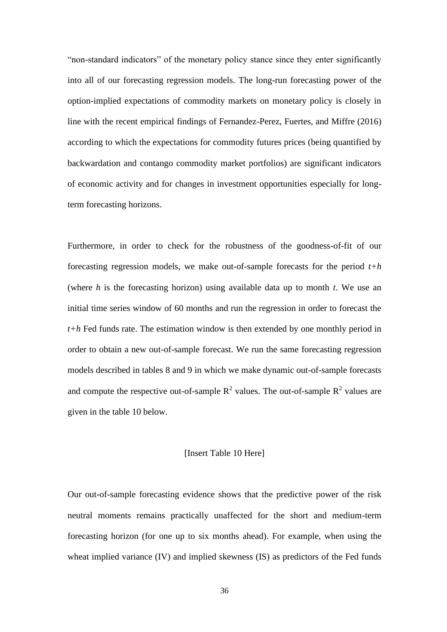"non-standard indicators" of the monetary policy stance since they enter significantly into all of our forecasting regression models. The long-run forecasting power of the option-implied expectations of commodity markets on monetary policy is closely in line with the recent empirical findings of Fernandez-Perez, Fuertes, and Miffre (2016) according to which the expectations for commodity futures prices (being quantified by backwardation and contango commodity market portfolios) are significant indicators of economic activity and for changes in investment opportunities especially for longterm forecasting horizons.

Furthermore, in order to check for the robustness of the goodness-of-fit of our forecasting regression models, we make out-of-sample forecasts for the period *t+h*  (where *h* is the forecasting horizon) using available data up to month *t*. We use an initial time series window of 60 months and run the regression in order to forecast the *t+h* Fed funds rate. The estimation window is then extended by one monthly period in order to obtain a new out-of-sample forecast. We run the same forecasting regression models described in tables 8 and 9 in which we make dynamic out-of-sample forecasts and compute the respective out-of-sample  $\mathbb{R}^2$  values. The out-of-sample  $\mathbb{R}^2$  values are given in the table 10 below.

## [Insert Table 10 Here]

Our out-of-sample forecasting evidence shows that the predictive power of the risk neutral moments remains practically unaffected for the short and medium-term forecasting horizon (for one up to six months ahead). For example, when using the wheat implied variance (IV) and implied skewness (IS) as predictors of the Fed funds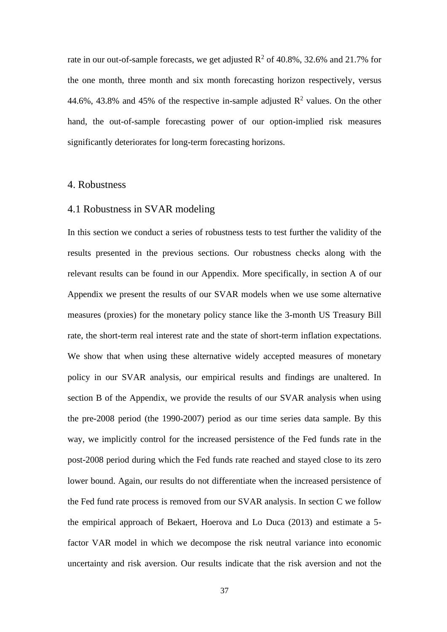rate in our out-of-sample forecasts, we get adjusted  $\mathbb{R}^2$  of 40.8%, 32.6% and 21.7% for the one month, three month and six month forecasting horizon respectively, versus 44.6%, 43.8% and 45% of the respective in-sample adjusted  $\mathbb{R}^2$  values. On the other hand, the out-of-sample forecasting power of our option-implied risk measures significantly deteriorates for long-term forecasting horizons.

# 4. Robustness

# 4.1 Robustness in SVAR modeling

In this section we conduct a series of robustness tests to test further the validity of the results presented in the previous sections. Our robustness checks along with the relevant results can be found in our Appendix. More specifically, in section A of our Appendix we present the results of our SVAR models when we use some alternative measures (proxies) for the monetary policy stance like the 3-month US Treasury Bill rate, the short-term real interest rate and the state of short-term inflation expectations. We show that when using these alternative widely accepted measures of monetary policy in our SVAR analysis, our empirical results and findings are unaltered. In section B of the Appendix, we provide the results of our SVAR analysis when using the pre-2008 period (the 1990-2007) period as our time series data sample. By this way, we implicitly control for the increased persistence of the Fed funds rate in the post-2008 period during which the Fed funds rate reached and stayed close to its zero lower bound. Again, our results do not differentiate when the increased persistence of the Fed fund rate process is removed from our SVAR analysis. In section C we follow the empirical approach of Bekaert, Hoerova and Lo Duca (2013) and estimate a 5 factor VAR model in which we decompose the risk neutral variance into economic uncertainty and risk aversion. Our results indicate that the risk aversion and not the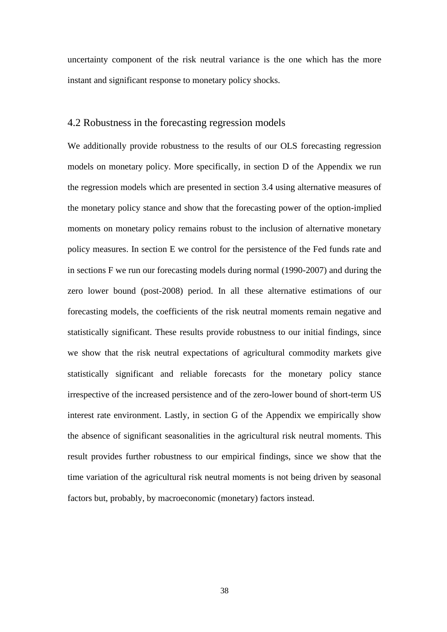uncertainty component of the risk neutral variance is the one which has the more instant and significant response to monetary policy shocks.

## 4.2 Robustness in the forecasting regression models

We additionally provide robustness to the results of our OLS forecasting regression models on monetary policy. More specifically, in section D of the Appendix we run the regression models which are presented in section 3.4 using alternative measures of the monetary policy stance and show that the forecasting power of the option-implied moments on monetary policy remains robust to the inclusion of alternative monetary policy measures. In section E we control for the persistence of the Fed funds rate and in sections F we run our forecasting models during normal (1990-2007) and during the zero lower bound (post-2008) period. In all these alternative estimations of our forecasting models, the coefficients of the risk neutral moments remain negative and statistically significant. These results provide robustness to our initial findings, since we show that the risk neutral expectations of agricultural commodity markets give statistically significant and reliable forecasts for the monetary policy stance irrespective of the increased persistence and of the zero-lower bound of short-term US interest rate environment. Lastly, in section G of the Appendix we empirically show the absence of significant seasonalities in the agricultural risk neutral moments. This result provides further robustness to our empirical findings, since we show that the time variation of the agricultural risk neutral moments is not being driven by seasonal factors but, probably, by macroeconomic (monetary) factors instead.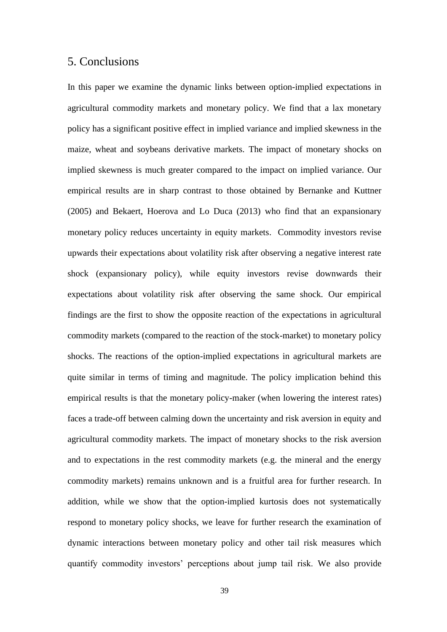# 5. Conclusions

In this paper we examine the dynamic links between option-implied expectations in agricultural commodity markets and monetary policy. We find that a lax monetary policy has a significant positive effect in implied variance and implied skewness in the maize, wheat and soybeans derivative markets. The impact of monetary shocks on implied skewness is much greater compared to the impact on implied variance. Our empirical results are in sharp contrast to those obtained by Bernanke and Kuttner (2005) and Bekaert, Hoerova and Lo Duca (2013) who find that an expansionary monetary policy reduces uncertainty in equity markets. Commodity investors revise upwards their expectations about volatility risk after observing a negative interest rate shock (expansionary policy), while equity investors revise downwards their expectations about volatility risk after observing the same shock. Our empirical findings are the first to show the opposite reaction of the expectations in agricultural commodity markets (compared to the reaction of the stock-market) to monetary policy shocks. The reactions of the option-implied expectations in agricultural markets are quite similar in terms of timing and magnitude. The policy implication behind this empirical results is that the monetary policy-maker (when lowering the interest rates) faces a trade-off between calming down the uncertainty and risk aversion in equity and agricultural commodity markets. The impact of monetary shocks to the risk aversion and to expectations in the rest commodity markets (e.g. the mineral and the energy commodity markets) remains unknown and is a fruitful area for further research. In addition, while we show that the option-implied kurtosis does not systematically respond to monetary policy shocks, we leave for further research the examination of dynamic interactions between monetary policy and other tail risk measures which quantify commodity investors' perceptions about jump tail risk. We also provide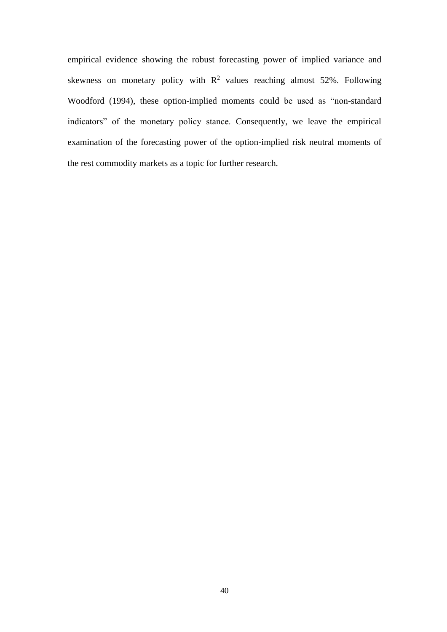empirical evidence showing the robust forecasting power of implied variance and skewness on monetary policy with  $\mathbb{R}^2$  values reaching almost 52%. Following Woodford (1994), these option-implied moments could be used as "non-standard indicators" of the monetary policy stance. Consequently, we leave the empirical examination of the forecasting power of the option-implied risk neutral moments of the rest commodity markets as a topic for further research.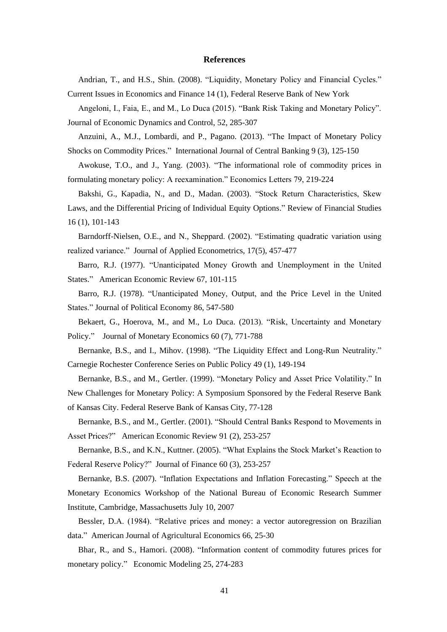#### **References**

Andrian, T., and H.S., Shin. (2008). "Liquidity, Monetary Policy and Financial Cycles."

Current Issues in Economics and Finance 14 (1), Federal Reserve Bank of New York

Angeloni, I., Faia, E., and M., Lo Duca (2015). "Bank Risk Taking and Monetary Policy". Journal of Economic Dynamics and Control, 52, 285-307

Anzuini, A., M.J., Lombardi, and P., Pagano. (2013). "The Impact of Monetary Policy Shocks on Commodity Prices." International Journal of Central Banking 9 (3), 125-150

Awokuse, T.O., and J., Yang. (2003). "The informational role of commodity prices in formulating monetary policy: A reexamination." Economics Letters 79, 219-224

Bakshi, G., Kapadia, N., and D., Madan. (2003). "Stock Return Characteristics, Skew Laws, and the Differential Pricing of Individual Equity Options." Review of Financial Studies 16 (1), 101-143

Barndorff-Nielsen, O.E., and N., Sheppard. (2002). "Estimating quadratic variation using realized variance." Journal of Applied Econometrics, 17(5), 457-477

Barro, R.J. (1977). "Unanticipated Money Growth and Unemployment in the United States." American Economic Review 67, 101-115

Barro, R.J. (1978). "Unanticipated Money, Output, and the Price Level in the United States." Journal of Political Economy 86, 547-580

Bekaert, G., Hoerova, M., and M., Lo Duca. (2013). "Risk, Uncertainty and Monetary Policy." Journal of Monetary Economics 60 (7), 771-788

Bernanke, B.S., and I., Mihov. (1998). "The Liquidity Effect and Long-Run Neutrality." Carnegie Rochester Conference Series on Public Policy 49 (1), 149-194

Bernanke, B.S., and M., Gertler. (1999). "Monetary Policy and Asset Price Volatility." In New Challenges for Monetary Policy: A Symposium Sponsored by the Federal Reserve Bank of Kansas City. Federal Reserve Bank of Kansas City, 77-128

Bernanke, B.S., and M., Gertler. (2001). "Should Central Banks Respond to Movements in Asset Prices?" American Economic Review 91 (2), 253-257

Bernanke, B.S., and K.N., Kuttner. (2005). "What Explains the Stock Market's Reaction to Federal Reserve Policy?" Journal of Finance 60 (3), 253-257

Bernanke, B.S. (2007). "Inflation Expectations and Inflation Forecasting." Speech at the Monetary Economics Workshop of the National Bureau of Economic Research Summer Institute, Cambridge, Massachusetts July 10, 2007

Bessler, D.A. (1984). "Relative prices and money: a vector autoregression on Brazilian data." American Journal of Agricultural Economics 66, 25-30

Bhar, R., and S., Hamori. (2008). "Information content of commodity futures prices for monetary policy." Economic Modeling 25, 274-283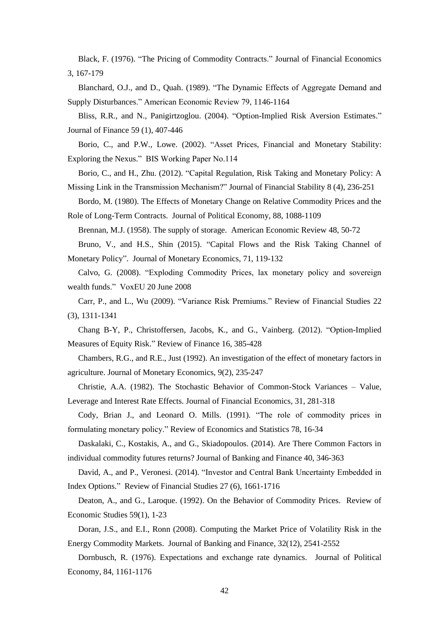Black, F. (1976). "The Pricing of Commodity Contracts." Journal of Financial Economics 3, 167-179

Blanchard, O.J., and D., Quah. (1989). "The Dynamic Effects of Aggregate Demand and Supply Disturbances." American Economic Review 79, 1146-1164

Bliss, R.R., and N., Panigirtzoglou. (2004). "Option-Implied Risk Aversion Estimates." Journal of Finance 59 (1), 407-446

Borio, C., and P.W., Lowe. (2002). "Asset Prices, Financial and Monetary Stability: Exploring the Nexus." BIS Working Paper No.114

Borio, C., and H., Zhu. (2012). "Capital Regulation, Risk Taking and Monetary Policy: A

Missing Link in the Transmission Mechanism?" Journal of Financial Stability 8 (4), 236-251

Bordo, M. (1980). The Effects of Monetary Change on Relative Commodity Prices and the Role of Long-Term Contracts. Journal of Political Economy, 88, 1088-1109

Brennan, M.J. (1958). The supply of storage. American Economic Review 48, 50-72

Bruno, V., and H.S., Shin (2015). "Capital Flows and the Risk Taking Channel of Monetary Policy". Journal of Monetary Economics, 71, 119-132

Calvo, G. (2008). "Exploding Commodity Prices, lax monetary policy and sovereign wealth funds." VoxEU 20 June 2008

Carr, P., and L., Wu (2009). "Variance Risk Premiums." Review of Financial Studies 22 (3), 1311-1341

Chang B-Y, P., Christoffersen, Jacobs, K., and G., Vainberg. (2012). "Option-Implied Measures of Equity Risk." Review of Finance 16, 385-428

Chambers, R.G., and R.E., Just (1992). An investigation of the effect of monetary factors in agriculture. Journal of Monetary Economics, 9(2), 235-247

Christie, A.A. (1982). The Stochastic Behavior of Common-Stock Variances – Value, Leverage and Interest Rate Effects. Journal of Financial Economics, 31, 281-318

Cody, Brian J., and Leonard O. Mills. (1991). "The role of commodity prices in formulating monetary policy." Review of Economics and Statistics 78, 16-34

Daskalaki, C., Kostakis, A., and G., Skiadopoulos. (2014). Are There Common Factors in individual commodity futures returns? Journal of Banking and Finance 40, 346-363

David, A., and P., Veronesi. (2014). "Investor and Central Bank Uncertainty Embedded in Index Options." Review of Financial Studies 27 (6), 1661-1716

Deaton, A., and G., Laroque. (1992). On the Behavior of Commodity Prices. Review of Economic Studies 59(1), 1-23

Doran, J.S., and E.I., Ronn (2008). Computing the Market Price of Volatility Risk in the Energy Commodity Markets. Journal of Banking and Finance*,* 32(12), 2541-2552

Dornbusch, R. (1976). Expectations and exchange rate dynamics. Journal of Political Economy*,* 84, 1161-1176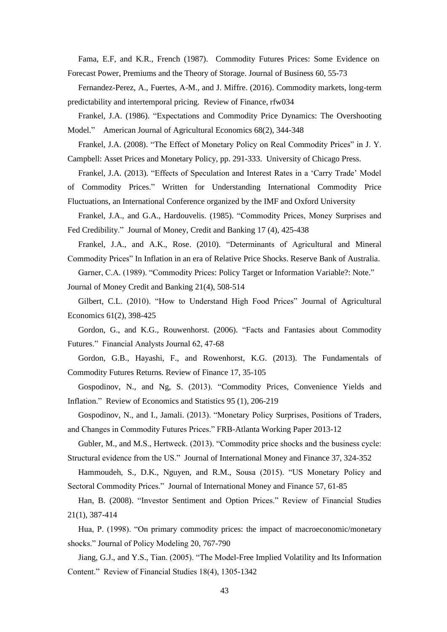Fama, E.F, and K.R., French (1987). Commodity Futures Prices: Some Evidence on Forecast Power, Premiums and the Theory of Storage. Journal of Business 60, 55-73

Fernandez-Perez, A., Fuertes, A-M., and J. Miffre. (2016). Commodity markets, long-term predictability and intertemporal pricing. Review of Finance, rfw034

Frankel, J.A. (1986). "Expectations and Commodity Price Dynamics: The Overshooting Model." American Journal of Agricultural Economics 68(2), 344-348

Frankel, J.A. (2008). "The Effect of Monetary Policy on Real Commodity Prices" in J. Y. Campbell: Asset Prices and Monetary Policy, pp. 291-333.University of Chicago Press.

Frankel, J.A. (2013). "Effects of Speculation and Interest Rates in a 'Carry Trade' Model

of Commodity Prices." Written for Understanding International Commodity Price Fluctuations, an International Conference organized by the IMF and Oxford University

Frankel, J.A., and G.A., Hardouvelis. (1985). "Commodity Prices, Money Surprises and Fed Credibility." Journal of Money, Credit and Banking 17 (4), 425-438

Frankel, J.A., and A.K., Rose. (2010). "Determinants of Agricultural and Mineral Commodity Prices" In Inflation in an era of Relative Price Shocks. Reserve Bank of Australia.

Garner, C.A. (1989). "Commodity Prices: Policy Target or Information Variable?: Note."

Journal of Money Credit and Banking 21(4), 508-514

Gilbert, C.L. (2010). "How to Understand High Food Prices" Journal of Agricultural Economics 61(2), 398-425

Gordon, G., and K.G., Rouwenhorst. (2006). "Facts and Fantasies about Commodity Futures." Financial Analysts Journal 62, 47-68

Gordon, G.B., Hayashi, F., and Rowenhorst, K.G. (2013). The Fundamentals of Commodity Futures Returns. Review of Finance 17, 35-105

Gospodinov, N., and Ng, S. (2013). "Commodity Prices, Convenience Yields and Inflation." Review of Economics and Statistics 95 (1), 206-219

Gospodinov, N., and I., Jamali. (2013). "Monetary Policy Surprises, Positions of Traders, and Changes in Commodity Futures Prices." FRB-Atlanta Working Paper 2013-12

Gubler, M., and M.S., Hertweck. (2013). "Commodity price shocks and the business cycle: Structural evidence from the US." Journal of International Money and Finance 37, 324-352

Hammoudeh, S., D.K., Nguyen, and R.M., Sousa (2015). "US Monetary Policy and Sectoral Commodity Prices." Journal of International Money and Finance 57, 61-85

Han, B. (2008). "Investor Sentiment and Option Prices." Review of Financial Studies 21(1), 387-414

Hua, P. (1998). "On primary commodity prices: the impact of macroeconomic/monetary shocks." Journal of Policy Modeling 20, 767-790

Jiang, G.J., and Y.S., Tian. (2005). "The Model-Free Implied Volatility and Its Information Content." Review of Financial Studies 18(4), 1305-1342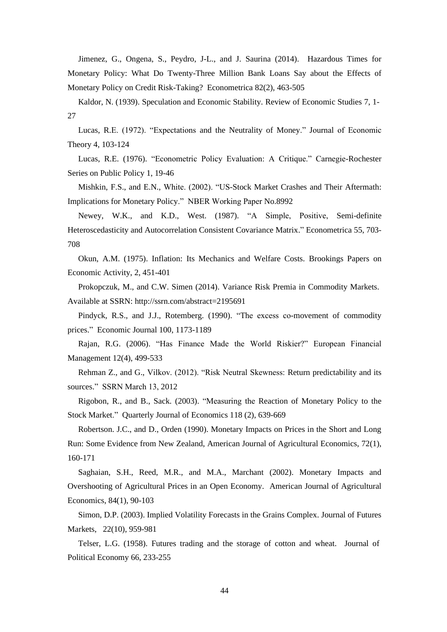Jimenez, G., Ongena, S., Peydro, J-L., and J. Saurina (2014). Hazardous Times for Monetary Policy: What Do Twenty-Three Million Bank Loans Say about the Effects of Monetary Policy on Credit Risk-Taking? Econometrica 82(2), 463-505

Kaldor, N. (1939). Speculation and Economic Stability. Review of Economic Studies 7, 1- 27

Lucas, R.E. (1972). "Expectations and the Neutrality of Money." Journal of Economic Theory 4, 103-124

Lucas, R.E. (1976). "Econometric Policy Evaluation: A Critique." Carnegie-Rochester Series on Public Policy 1, 19-46

Mishkin, F.S., and E.N., White. (2002). "US-Stock Market Crashes and Their Aftermath: Implications for Monetary Policy." NBER Working Paper No.8992

Newey, W.K., and K.D., West. (1987). "A Simple, Positive, Semi-definite Heteroscedasticity and Autocorrelation Consistent Covariance Matrix." Econometrica 55, 703- 708

Okun, A.M. (1975). Inflation: Its Mechanics and Welfare Costs. Brookings Papers on Economic Activity, 2, 451-401

Prokopczuk, M., and C.W. Simen (2014). Variance Risk Premia in Commodity Markets. Available at SSRN: http://ssrn.com/abstract=2195691

Pindyck, R.S., and J.J., Rotemberg. (1990). "The excess co-movement of commodity prices." Economic Journal 100, 1173-1189

Rajan, R.G. (2006). "Has Finance Made the World Riskier?" European Financial Management 12(4), 499-533

Rehman Z., and G., Vilkov. (2012). "Risk Neutral Skewness: Return predictability and its sources." SSRN March 13, 2012

Rigobon, R., and B., Sack. (2003). "Measuring the Reaction of Monetary Policy to the Stock Market." Quarterly Journal of Economics 118 (2), 639-669

Robertson. J.C., and D., Orden (1990). Monetary Impacts on Prices in the Short and Long Run: Some Evidence from New Zealand, American Journal of Agricultural Economics, 72(1), 160-171

Saghaian, S.H., Reed, M.R., and M.A., Marchant (2002). Monetary Impacts and Overshooting of Agricultural Prices in an Open Economy. American Journal of Agricultural Economics, 84(1), 90-103

Simon, D.P. (2003). Implied Volatility Forecasts in the Grains Complex. Journal of Futures Markets, 22(10), 959-981

Telser, L.G. (1958). Futures trading and the storage of cotton and wheat*.* Journal of Political Economy 66, 233-255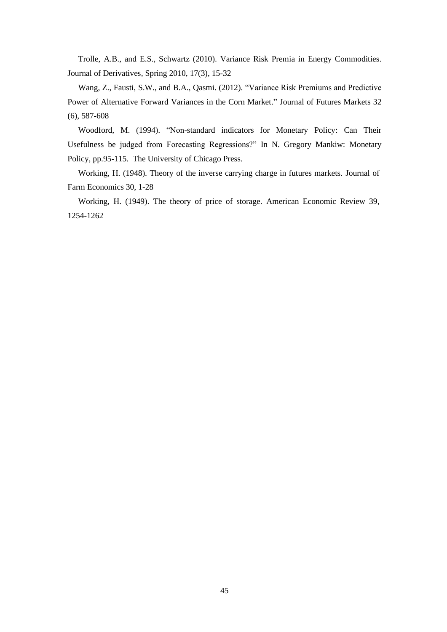Trolle, A.B., and E.S., Schwartz (2010). Variance Risk Premia in Energy Commodities. Journal of Derivatives*,* Spring 2010, 17(3), 15-32

Wang, Z., Fausti, S.W., and B.A., Qasmi. (2012). "Variance Risk Premiums and Predictive Power of Alternative Forward Variances in the Corn Market." Journal of Futures Markets 32 (6), 587-608

Woodford, M. (1994). "Non-standard indicators for Monetary Policy: Can Their Usefulness be judged from Forecasting Regressions?" In N. Gregory Mankiw: Monetary Policy, pp.95-115. The University of Chicago Press.

Working, H. (1948). Theory of the inverse carrying charge in futures markets. Journal of Farm Economics 30, 1-28

Working, H. (1949). The theory of price of storage. American Economic Review 39, 1254-1262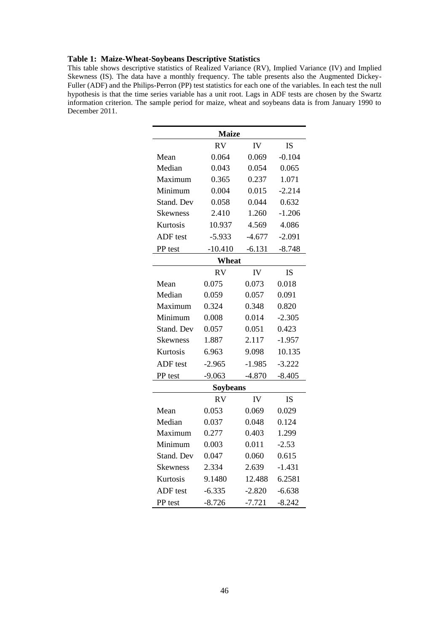#### **Table 1: Maize-Wheat-Soybeans Descriptive Statistics**

This table shows descriptive statistics of Realized Variance (RV), Implied Variance (IV) and Implied Skewness (IS). The data have a monthly frequency. The table presents also the Augmented Dickey-Fuller (ADF) and the Philips-Perron (PP) test statistics for each one of the variables. In each test the null hypothesis is that the time series variable has a unit root. Lags in ADF tests are chosen by the Swartz information criterion. The sample period for maize, wheat and soybeans data is from January 1990 to December 2011.

| <b>Maize</b>                 |           |          |           |  |  |  |  |  |  |  |  |
|------------------------------|-----------|----------|-----------|--|--|--|--|--|--|--|--|
| <b>RV</b><br>IV<br><b>IS</b> |           |          |           |  |  |  |  |  |  |  |  |
| Mean                         | 0.064     | 0.069    | $-0.104$  |  |  |  |  |  |  |  |  |
| Median                       | 0.043     | 0.054    | 0.065     |  |  |  |  |  |  |  |  |
| Maximum                      | 0.365     | 0.237    | 1.071     |  |  |  |  |  |  |  |  |
| Minimum                      | 0.004     | 0.015    | $-2.214$  |  |  |  |  |  |  |  |  |
| Stand. Dev                   | 0.058     | 0.044    | 0.632     |  |  |  |  |  |  |  |  |
| <b>Skewness</b>              | 2.410     | 1.260    | $-1.206$  |  |  |  |  |  |  |  |  |
| Kurtosis                     | 10.937    | 4.569    | 4.086     |  |  |  |  |  |  |  |  |
| ADF test                     | $-5.933$  | $-4.677$ | $-2.091$  |  |  |  |  |  |  |  |  |
| PP test                      | $-10.410$ | $-6.131$ | $-8.748$  |  |  |  |  |  |  |  |  |
|                              | Wheat     |          |           |  |  |  |  |  |  |  |  |
|                              | <b>RV</b> | IV       | <b>IS</b> |  |  |  |  |  |  |  |  |
| Mean                         | 0.075     | 0.073    | 0.018     |  |  |  |  |  |  |  |  |
| Median                       | 0.059     | 0.057    | 0.091     |  |  |  |  |  |  |  |  |
| Maximum                      | 0.324     | 0.348    | 0.820     |  |  |  |  |  |  |  |  |
| Minimum                      | 0.008     | 0.014    | $-2.305$  |  |  |  |  |  |  |  |  |
| Stand. Dev                   | 0.057     | 0.051    | 0.423     |  |  |  |  |  |  |  |  |
| <b>Skewness</b>              | 1.887     | 2.117    | $-1.957$  |  |  |  |  |  |  |  |  |
| Kurtosis                     | 6.963     | 9.098    | 10.135    |  |  |  |  |  |  |  |  |
| ADF test                     | $-2.965$  | $-1.985$ | $-3.222$  |  |  |  |  |  |  |  |  |
| PP test                      | $-9.063$  | $-4.870$ | $-8.405$  |  |  |  |  |  |  |  |  |
|                              | Soybeans  |          |           |  |  |  |  |  |  |  |  |
|                              | <b>RV</b> | IV       | <b>IS</b> |  |  |  |  |  |  |  |  |
| Mean                         | 0.053     | 0.069    | 0.029     |  |  |  |  |  |  |  |  |
| Median                       | 0.037     | 0.048    | 0.124     |  |  |  |  |  |  |  |  |
| Maximum                      | 0.277     | 0.403    | 1.299     |  |  |  |  |  |  |  |  |
| Minimum                      | 0.003     | 0.011    | $-2.53$   |  |  |  |  |  |  |  |  |
| Stand. Dev                   | 0.047     | 0.060    | 0.615     |  |  |  |  |  |  |  |  |
| <b>Skewness</b>              | 2.334     | 2.639    | $-1.431$  |  |  |  |  |  |  |  |  |
| Kurtosis                     | 9.1480    | 12.488   | 6.2581    |  |  |  |  |  |  |  |  |
| ADF test                     | $-6.335$  | $-2.820$ | $-6.638$  |  |  |  |  |  |  |  |  |
| PP test                      | $-8.726$  | $-7.721$ | $-8.242$  |  |  |  |  |  |  |  |  |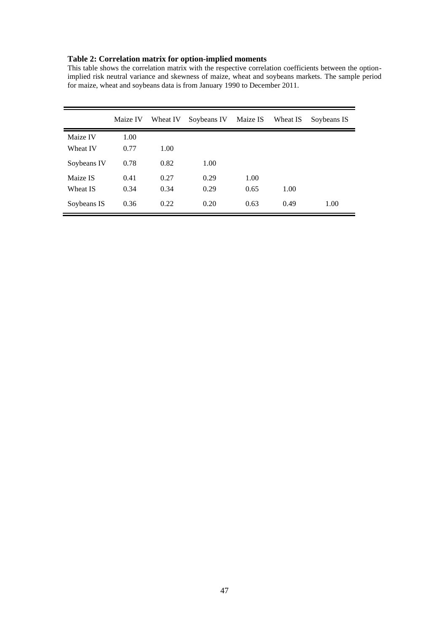#### **Table 2: Correlation matrix for option-implied moments**

This table shows the correlation matrix with the respective correlation coefficients between the optionimplied risk neutral variance and skewness of maize, wheat and soybeans markets. The sample period for maize, wheat and soybeans data is from January 1990 to December 2011.

|             | Maize IV | Wheat IV | Soybeans IV | Maize IS | Wheat IS | Soybeans IS |
|-------------|----------|----------|-------------|----------|----------|-------------|
| Maize IV    | 1.00     |          |             |          |          |             |
| Wheat IV    | 0.77     | 1.00     |             |          |          |             |
| Soybeans IV | 0.78     | 0.82     | 1.00        |          |          |             |
| Maize IS    | 0.41     | 0.27     | 0.29        | 1.00     |          |             |
| Wheat IS    | 0.34     | 0.34     | 0.29        | 0.65     | 1.00     |             |
| Soybeans IS | 0.36     | 0.22     | 0.20        | 0.63     | 0.49     | 1.00        |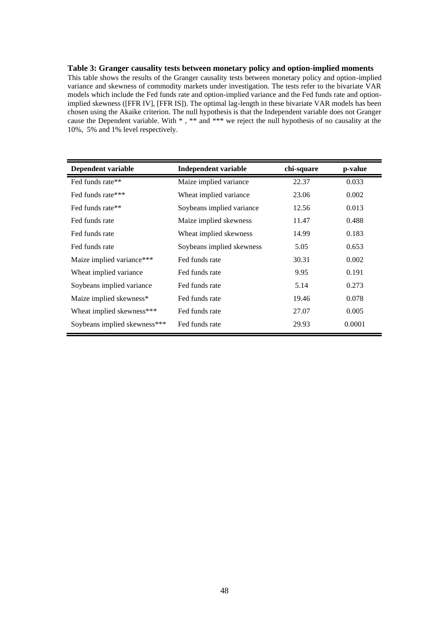#### **Table 3: Granger causality tests between monetary policy and option-implied moments**

This table shows the results of the Granger causality tests between monetary policy and option-implied variance and skewness of commodity markets under investigation. The tests refer to the bivariate VAR models which include the Fed funds rate and option-implied variance and the Fed funds rate and optionimplied skewness ([FFR IV], [FFR IS]). The optimal lag-length in these bivariate VAR models has been chosen using the Akaike criterion. The null hypothesis is that the Independent variable does not Granger cause the Dependent variable. With  $*$ ,  $**$  and  $***$  we reject the null hypothesis of no causality at the 10%, 5% and 1% level respectively.

| Dependent variable           | <b>Independent variable</b> | chi-square | p-value |
|------------------------------|-----------------------------|------------|---------|
| Fed funds rate**             | Maize implied variance      | 22.37      | 0.033   |
| Fed funds rate***            | Wheat implied variance      | 23.06      | 0.002   |
| Fed funds rate**             | Soybeans implied variance   | 12.56      | 0.013   |
| Fed funds rate               | Maize implied skewness      | 11.47      | 0.488   |
| Fed funds rate               | Wheat implied skewness      | 14.99      | 0.183   |
| Fed funds rate               | Soybeans implied skewness   | 5.05       | 0.653   |
| Maize implied variance***    | Fed funds rate              | 30.31      | 0.002   |
| Wheat implied variance       | Fed funds rate              | 9.95       | 0.191   |
| Soybeans implied variance    | Fed funds rate              | 5.14       | 0.273   |
| Maize implied skewness*      | Fed funds rate              | 19.46      | 0.078   |
| Wheat implied skewness***    | Fed funds rate              | 27.07      | 0.005   |
| Soybeans implied skewness*** | Fed funds rate              | 29.93      | 0.0001  |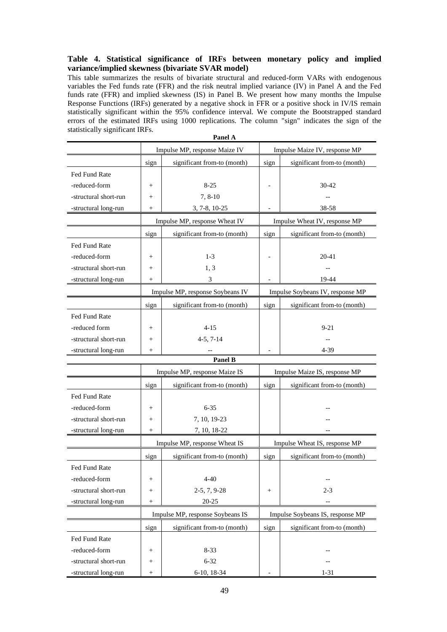#### **Table 4. Statistical significance of IRFs between monetary policy and implied variance/implied skewness (bivariate SVAR model)**

This table summarizes the results of bivariate structural and reduced-form VARs with endogenous variables the Fed funds rate (FFR) and the risk neutral implied variance (IV) in Panel A and the Fed funds rate (FFR) and implied skewness (IS) in Panel B. We present how many months the Impulse Response Functions (IRFs) generated by a negative shock in FFR or a positive shock in IV/IS remain statistically significant within the 95% confidence interval. We compute the Bootstrapped standard errors of the estimated IRFs using 1000 replications. The column "sign" indicates the sign of the statistically significant IRFs. **Panel A**

| ranei A               |                 |                                  |                               |                                  |  |  |  |  |
|-----------------------|-----------------|----------------------------------|-------------------------------|----------------------------------|--|--|--|--|
|                       |                 | Impulse MP, response Maize IV    |                               | Impulse Maize IV, response MP    |  |  |  |  |
|                       | sign            | significant from-to (month)      | sign                          | significant from-to (month)      |  |  |  |  |
| Fed Fund Rate         |                 |                                  |                               |                                  |  |  |  |  |
| -reduced-form         | $^{+}$          | $8 - 25$                         |                               | 30-42                            |  |  |  |  |
| -structural short-run | $^{+}$          | $7, 8-10$                        |                               |                                  |  |  |  |  |
| -structural long-run  | $^{+}$          | $3, 7 - 8, 10 - 25$              |                               | 38-58                            |  |  |  |  |
|                       |                 | Impulse MP, response Wheat IV    |                               | Impulse Wheat IV, response MP    |  |  |  |  |
|                       | sign            | significant from-to (month)      | sign                          | significant from-to (month)      |  |  |  |  |
| Fed Fund Rate         |                 |                                  |                               |                                  |  |  |  |  |
| -reduced-form         | $^{+}$          | $1-3$                            |                               | 20-41                            |  |  |  |  |
| -structural short-run | $^{+}$          | 1, 3                             |                               |                                  |  |  |  |  |
| -structural long-run  | $^{+}$          | 3                                |                               | 19-44                            |  |  |  |  |
|                       |                 | Impulse MP, response Soybeans IV |                               | Impulse Soybeans IV, response MP |  |  |  |  |
|                       | sign            | significant from-to (month)      | sign                          | significant from-to (month)      |  |  |  |  |
| Fed Fund Rate         |                 |                                  |                               |                                  |  |  |  |  |
| -reduced form         | $^{+}$          | $4 - 15$                         |                               | $9 - 21$                         |  |  |  |  |
| -structural short-run | $^{+}$          | $4-5, 7-14$                      |                               |                                  |  |  |  |  |
| -structural long-run  | $^{+}$          |                                  |                               | 4-39                             |  |  |  |  |
|                       |                 | <b>Panel B</b>                   |                               |                                  |  |  |  |  |
|                       |                 | Impulse MP, response Maize IS    | Impulse Maize IS, response MP |                                  |  |  |  |  |
|                       | sign            | significant from-to (month)      | sign                          | significant from-to (month)      |  |  |  |  |
| Fed Fund Rate         |                 |                                  |                               |                                  |  |  |  |  |
| -reduced-form         | $^{+}$          | $6 - 35$                         |                               |                                  |  |  |  |  |
| -structural short-run | $^{+}$          | 7, 10, 19-23                     |                               |                                  |  |  |  |  |
| -structural long-run  | $^{+}$          | 7, 10, 18-22                     |                               |                                  |  |  |  |  |
|                       |                 | Impulse MP, response Wheat IS    |                               | Impulse Wheat IS, response MP    |  |  |  |  |
|                       | sign            | significant from-to (month)      | sign                          | significant from-to (month)      |  |  |  |  |
| Fed Fund Rate         |                 |                                  |                               |                                  |  |  |  |  |
| -reduced-form         | $^{+}$          | $4 - 40$                         |                               |                                  |  |  |  |  |
| -structural short-run | $^{+}$          | $2-5, 7, 9-28$                   | $\! + \!\!\!\!$               | 2-3                              |  |  |  |  |
| -structural long-run  | $^{+}$          | $20 - 25$                        |                               | $-$                              |  |  |  |  |
|                       |                 | Impulse MP, response Soybeans IS |                               | Impulse Soybeans IS, response MP |  |  |  |  |
|                       | sign            | significant from-to (month)      | sign                          | significant from-to (month)      |  |  |  |  |
| Fed Fund Rate         |                 |                                  |                               |                                  |  |  |  |  |
| -reduced-form         | $\! + \!\!\!\!$ | $8 - 33$                         |                               |                                  |  |  |  |  |
| -structural short-run | $\! + \!\!\!\!$ | $6 - 32$                         |                               |                                  |  |  |  |  |
| -structural long-run  | $\! + \!\!\!\!$ | 6-10, 18-34                      |                               | $1-31$                           |  |  |  |  |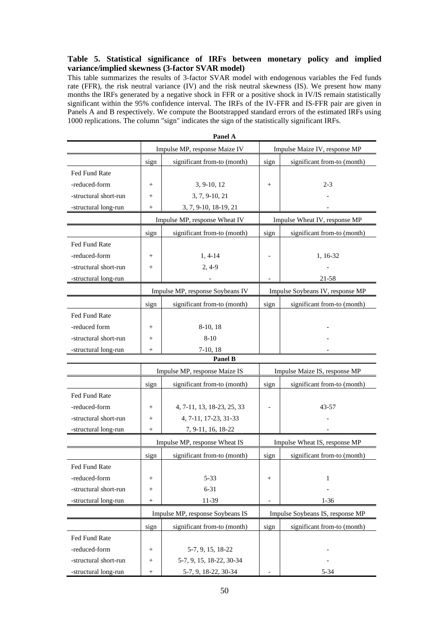#### **Table 5. Statistical significance of IRFs between monetary policy and implied variance/implied skewness (3-factor SVAR model)**

This table summarizes the results of 3-factor SVAR model with endogenous variables the Fed funds rate (FFR), the risk neutral variance (IV) and the risk neutral skewness (IS). We present how many months the IRFs generated by a negative shock in FFR or a positive shock in IV/IS remain statistically significant within the 95% confidence interval. The IRFs of the IV-FFR and IS-FFR pair are given in Panels A and B respectively. We compute the Bootstrapped standard errors of the estimated IRFs using 1000 replications. The column "sign" indicates the sign of the statistically significant IRFs.

|                       |                 | Panel A                          |                               |                                  |
|-----------------------|-----------------|----------------------------------|-------------------------------|----------------------------------|
|                       |                 | Impulse MP, response Maize IV    |                               | Impulse Maize IV, response MP    |
|                       | sign            | significant from-to (month)      | sign                          | significant from-to (month)      |
| Fed Fund Rate         |                 |                                  |                               |                                  |
| -reduced-form         | $^{+}$          | 3, 9-10, 12                      | $^{+}$                        | $2 - 3$                          |
| -structural short-run | $^{+}$          | 3, 7, 9-10, 21                   |                               |                                  |
| -structural long-run  | $^{+}$          | 3, 7, 9-10, 18-19, 21            |                               |                                  |
|                       |                 | Impulse MP, response Wheat IV    |                               | Impulse Wheat IV, response MP    |
|                       | sign            | significant from-to (month)      | sign                          | significant from-to (month)      |
| Fed Fund Rate         |                 |                                  |                               |                                  |
| -reduced-form         | $^{+}$          | $1, 4-14$                        |                               | 1, 16-32                         |
| -structural short-run | $^{+}$          | $2,4-9$                          |                               |                                  |
| -structural long-run  |                 |                                  |                               | 21-58                            |
|                       |                 | Impulse MP, response Soybeans IV |                               | Impulse Soybeans IV, response MP |
|                       | sign            | significant from-to (month)      | sign                          | significant from-to (month)      |
| Fed Fund Rate         |                 |                                  |                               |                                  |
| -reduced form         | $^{+}$          | 8-10, 18                         |                               |                                  |
| -structural short-run | $^{+}$          | $8 - 10$                         |                               |                                  |
| -structural long-run  | $^{+}$          | $7-10, 18$                       |                               |                                  |
|                       |                 | Panel B                          |                               |                                  |
|                       |                 | Impulse MP, response Maize IS    |                               | Impulse Maize IS, response MP    |
|                       | sign            | significant from-to (month)      | sign                          | significant from-to (month)      |
| Fed Fund Rate         |                 |                                  |                               |                                  |
| -reduced-form         | $^{+}$          | 4, 7-11, 13, 18-23, 25, 33       |                               | 43-57                            |
| -structural short-run | $^{+}$          | 4, 7-11, 17-23, 31-33            |                               |                                  |
| -structural long-run  | $^{+}$          | 7, 9-11, 16, 18-22               |                               |                                  |
|                       |                 | Impulse MP, response Wheat IS    | Impulse Wheat IS, response MP |                                  |
|                       | sign            | significant from-to (month)      | sign                          | significant from-to (month)      |
| Fed Fund Rate         |                 |                                  |                               |                                  |
| -reduced-form         | $\! + \!\!\!\!$ | $5 - 33$                         | $\! + \!\!\!\!$               | 1                                |
| -structural short-run | $\! + \!\!\!\!$ | $6 - 31$                         |                               |                                  |
| -structural long-run  | $\! + \!\!\!\!$ | 11-39                            |                               | $1 - 36$                         |
|                       |                 | Impulse MP, response Soybeans IS |                               | Impulse Soybeans IS, response MP |
|                       | sign            | significant from-to (month)      | sign                          | significant from-to (month)      |
| Fed Fund Rate         |                 |                                  |                               |                                  |
| -reduced-form         | $\! + \!\!\!\!$ | 5-7, 9, 15, 18-22                |                               |                                  |
| -structural short-run | $\! + \!\!\!\!$ | 5-7, 9, 15, 18-22, 30-34         |                               |                                  |
| -structural long-run  | $^{+}$          | 5-7, 9, 18-22, 30-34             |                               | $5 - 34$                         |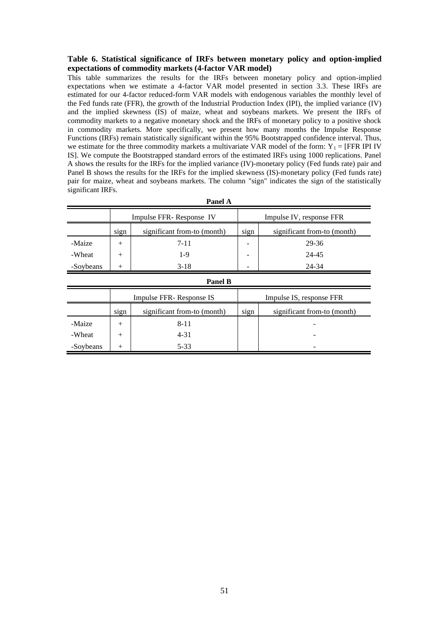#### **Table 6. Statistical significance of IRFs between monetary policy and option-implied expectations of commodity markets (4-factor VAR model)**

This table summarizes the results for the IRFs between monetary policy and option-implied expectations when we estimate a 4-factor VAR model presented in section 3.3. These IRFs are estimated for our 4-factor reduced-form VAR models with endogenous variables the monthly level of the Fed funds rate (FFR), the growth of the Industrial Production Index (IPI), the implied variance (IV) and the implied skewness (IS) of maize, wheat and soybeans markets. We present the IRFs of commodity markets to a negative monetary shock and the IRFs of monetary policy to a positive shock in commodity markets. More specifically, we present how many months the Impulse Response Functions (IRFs) remain statistically significant within the 95% Bootstrapped confidence interval. Thus, we estimate for the three commodity markets a multivariate VAR model of the form:  $Y_1 = [FFR IPI IV]$ IS]. We compute the Bootstrapped standard errors of the estimated IRFs using 1000 replications. Panel A shows the results for the IRFs for the implied variance (IV)-monetary policy (Fed funds rate) pair and Panel B shows the results for the IRFs for the implied skewness (IS)-monetary policy (Fed funds rate) pair for maize, wheat and soybeans markets. The column "sign" indicates the sign of the statistically significant IRFs.

| я ансі д  |                |                             |                          |                             |  |  |  |  |
|-----------|----------------|-----------------------------|--------------------------|-----------------------------|--|--|--|--|
|           |                | Impulse FFR- Response IV    | Impulse IV, response FFR |                             |  |  |  |  |
|           | sign           | significant from-to (month) | sign                     | significant from-to (month) |  |  |  |  |
| -Maize    | $^{+}$         | $7 - 11$                    |                          | 29-36                       |  |  |  |  |
| -Wheat    | $^{+}$         | $1-9$                       |                          | 24-45                       |  |  |  |  |
| -Soybeans | $^{+}$         | $3-18$                      |                          | 24-34                       |  |  |  |  |
|           | <b>Panel B</b> |                             |                          |                             |  |  |  |  |
|           |                | Impulse FFR- Response IS    | Impulse IS, response FFR |                             |  |  |  |  |
|           | sign           | significant from-to (month) | sign                     | significant from-to (month) |  |  |  |  |
| -Maize    | $^{+}$         | $8 - 11$                    |                          |                             |  |  |  |  |

 $-$ Wheat  $+$   $+$  4-31  $-$ 

 $-$ Soybeans + 5-33

**Panel A**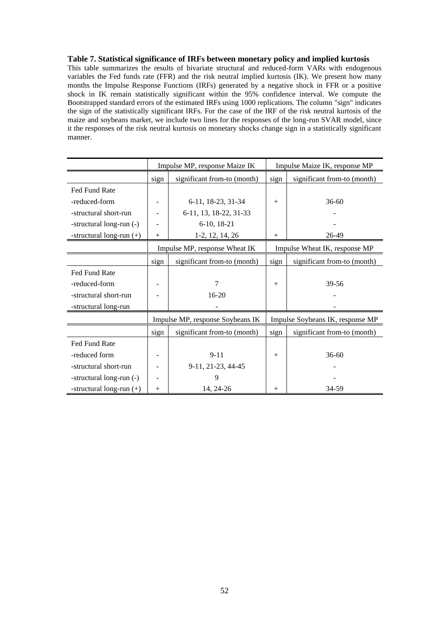#### **Table 7. Statistical significance of IRFs between monetary policy and implied kurtosis**

This table summarizes the results of bivariate structural and reduced-form VARs with endogenous variables the Fed funds rate (FFR) and the risk neutral implied kurtosis (IK). We present how many months the Impulse Response Functions (IRFs) generated by a negative shock in FFR or a positive shock in IK remain statistically significant within the 95% confidence interval. We compute the Bootstrapped standard errors of the estimated IRFs using 1000 replications. The column "sign" indicates the sign of the statistically significant IRFs. For the case of the IRF of the risk neutral kurtosis of the maize and soybeans market, we include two lines for the responses of the long-run SVAR model, since it the responses of the risk neutral kurtosis on monetary shocks change sign in a statistically significant manner.

|                            | Impulse MP, response Maize IK |                                  |        | Impulse Maize IK, response MP    |  |  |
|----------------------------|-------------------------------|----------------------------------|--------|----------------------------------|--|--|
|                            | sign                          | significant from-to (month)      | sign   | significant from-to (month)      |  |  |
| Fed Fund Rate              |                               |                                  |        |                                  |  |  |
| -reduced-form              |                               | 6-11, 18-23, 31-34               | $^{+}$ | $36-60$                          |  |  |
| -structural short-run      |                               | 6-11, 13, 18-22, 31-33           |        |                                  |  |  |
| -structural long-run (-)   |                               | $6-10$ , 18-21                   |        |                                  |  |  |
| -structural long-run (+)   | $^{+}$                        | $1-2, 12, 14, 26$                | $^{+}$ | 26-49                            |  |  |
|                            |                               | Impulse MP, response Wheat IK    |        | Impulse Wheat IK, response MP    |  |  |
|                            | sign                          | significant from-to (month)      | sign   | significant from-to (month)      |  |  |
| <b>Fed Fund Rate</b>       |                               |                                  |        |                                  |  |  |
| -reduced-form              |                               | 7                                | $^{+}$ | 39-56                            |  |  |
| -structural short-run      |                               | $16-20$                          |        |                                  |  |  |
| -structural long-run       |                               |                                  |        |                                  |  |  |
|                            |                               | Impulse MP, response Soybeans IK |        | Impulse Soybeans IK, response MP |  |  |
|                            | sign                          | significant from-to (month)      | sign   | significant from-to (month)      |  |  |
| Fed Fund Rate              |                               |                                  |        |                                  |  |  |
| -reduced form              |                               | $9 - 11$                         | $^{+}$ | $36-60$                          |  |  |
| -structural short-run      |                               | 9-11, 21-23, 44-45               |        |                                  |  |  |
| -structural long-run (-)   |                               | 9                                |        |                                  |  |  |
| -structural long-run $(+)$ | $^{+}$                        | 14, 24-26                        | $+$    | 34-59                            |  |  |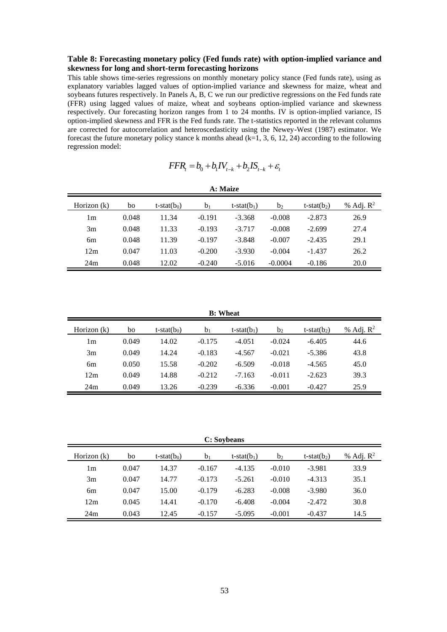#### **Table 8: Forecasting monetary policy (Fed funds rate) with option-implied variance and skewness for long and short-term forecasting horizons**

This table shows time-series regressions on monthly monetary policy stance (Fed funds rate), using as explanatory variables lagged values of option-implied variance and skewness for maize, wheat and soybeans futures respectively. In Panels A, B, C we run our predictive regressions on the Fed funds rate (FFR) using lagged values of maize, wheat and soybeans option-implied variance and skewness respectively. Our forecasting horizon ranges from 1 to 24 months. IV is option-implied variance, IS option-implied skewness and FFR is the Fed funds rate. The t-statistics reported in the relevant columns are corrected for autocorrelation and heteroscedasticity using the Newey-West (1987) estimator. We forecast the future monetary policy stance k months ahead (k=1, 3, 6, 12, 24) according to the following regression model:

$$
FFR_t = b_0 + b_1 IV_{t-k} + b_2 IS_{t-k} + \varepsilon_t
$$

| A: Maize      |       |                |                |               |                |                   |                       |  |
|---------------|-------|----------------|----------------|---------------|----------------|-------------------|-----------------------|--|
| Horizon $(k)$ | bo    | t-stat $(b_0)$ | b <sub>1</sub> | $t-stat(b_1)$ | b <sub>2</sub> | $t$ -stat $(b_2)$ | % Adj. $\mathbb{R}^2$ |  |
| 1m            | 0.048 | 11.34          | $-0.191$       | $-3.368$      | $-0.008$       | $-2.873$          | 26.9                  |  |
| 3m            | 0.048 | 11.33          | $-0.193$       | $-3.717$      | $-0.008$       | $-2.699$          | 27.4                  |  |
| 6m            | 0.048 | 11.39          | $-0.197$       | $-3.848$      | $-0.007$       | $-2.435$          | 29.1                  |  |
| 12m           | 0.047 | 11.03          | $-0.200$       | $-3.930$      | $-0.004$       | $-1.437$          | 26.2                  |  |
| 24m           | 0.048 | 12.02          | $-0.240$       | $-5.016$      | $-0.0004$      | $-0.186$          | 20.0                  |  |

**B: Wheat**

| Horizon (k) | bo    | t-stat $(b_0)$ | $b_1$    | $t$ -stat $(b_1)$ | b <sub>2</sub> | t-stat( $b_2$ ) | % Adj. $\mathbb{R}^2$ |
|-------------|-------|----------------|----------|-------------------|----------------|-----------------|-----------------------|
| l m         | 0.049 | 14.02          | $-0.175$ | $-4.051$          | $-0.024$       | $-6.405$        | 44.6                  |
| 3m          | 0.049 | 14.24          | $-0.183$ | $-4.567$          | $-0.021$       | -5.386          | 43.8                  |
| 6m          | 0.050 | 15.58          | $-0.202$ | $-6.509$          | $-0.018$       | $-4.565$        | 45.0                  |
| 12m         | 0.049 | 14.88          | $-0.212$ | $-7.163$          | $-0.011$       | $-2.623$        | 39.3                  |
| 24m         | 0.049 | 13.26          | $-0.239$ | $-6.336$          | $-0.001$       | $-0.427$        | 25.9                  |

**C: Soybeans**

| Horizon $(k)$ | bo    | t-stat $(b_0)$ | b <sub>1</sub> | t-stat( $b_1$ ) | b <sub>2</sub> | t-stat( $b_2$ ) | % Adj. $\mathbb{R}^2$ |
|---------------|-------|----------------|----------------|-----------------|----------------|-----------------|-----------------------|
| l m           | 0.047 | 14.37          | $-0.167$       | $-4.135$        | $-0.010$       | $-3.981$        | 33.9                  |
| 3m            | 0.047 | 14.77          | $-0.173$       | $-5.261$        | $-0.010$       | $-4.313$        | 35.1                  |
| 6m            | 0.047 | 15.00          | $-0.179$       | $-6.283$        | $-0.008$       | $-3.980$        | 36.0                  |
| 12m           | 0.045 | 14.41          | $-0.170$       | $-6.408$        | $-0.004$       | $-2.472$        | 30.8                  |
| 24m           | 0.043 | 12.45          | $-0.157$       | $-5.095$        | $-0.001$       | $-0.437$        | 14.5                  |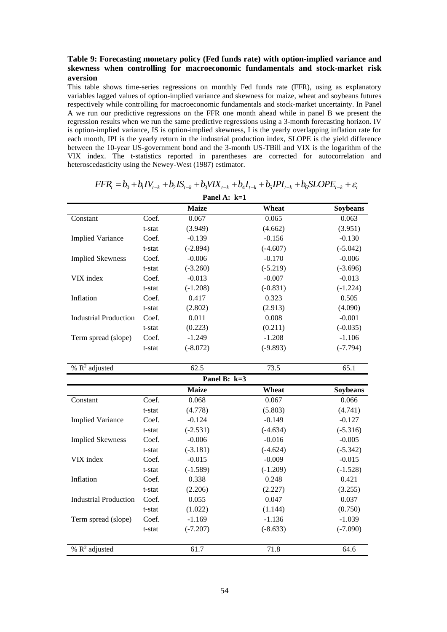#### **Table 9: Forecasting monetary policy (Fed funds rate) with option-implied variance and skewness when controlling for macroeconomic fundamentals and stock-market risk aversion**

This table shows time-series regressions on monthly Fed funds rate (FFR), using as explanatory variables lagged values of option-implied variance and skewness for maize, wheat and soybeans futures respectively while controlling for macroeconomic fundamentals and stock-market uncertainty. In Panel A we run our predictive regressions on the FFR one month ahead while in panel B we present the regression results when we run the same predictive regressions using a 3-month forecasting horizon. IV is option-implied variance, IS is option-implied skewness, I is the yearly overlapping inflation rate for each month, IPI is the yearly return in the industrial production index, SLOPE is the yield difference between the 10-year US-government bond and the 3-month US-TBill and VIX is the logarithm of the VIX index. The t-statistics reported in parentheses are corrected for autocorrelation and heteroscedasticity using the Newey-West (1987) estimator. **EXECUTE:** The t-statistics reported in parentheses are corrected for autocorrelation and cedasticity using the Newey-West (1987) estimator.<br> **FFR**<sub> $i$ </sub> =  $b_0$  +  $b_1 IV_{t-k}$  +  $b_2 I S_{t-k}$  +  $b_3 V I X_{t-k}$  +  $b_4 I_{t-k}$  +  $b_$ 

| Panel A: k=1                 |        |              |            |            |  |  |  |  |
|------------------------------|--------|--------------|------------|------------|--|--|--|--|
|                              |        | <b>Maize</b> | Wheat      | Soybeans   |  |  |  |  |
| Constant                     | Coef.  | 0.067        | 0.065      | 0.063      |  |  |  |  |
|                              | t-stat | (3.949)      | (4.662)    | (3.951)    |  |  |  |  |
| <b>Implied Variance</b>      | Coef.  | $-0.139$     | $-0.156$   | $-0.130$   |  |  |  |  |
|                              | t-stat | $(-2.894)$   | $(-4.607)$ | $(-5.042)$ |  |  |  |  |
| <b>Implied Skewness</b>      | Coef.  | $-0.006$     | $-0.170$   | $-0.006$   |  |  |  |  |
|                              | t-stat | $(-3.260)$   | $(-5.219)$ | $(-3.696)$ |  |  |  |  |
| VIX index                    | Coef.  | $-0.013$     | $-0.007$   | $-0.013$   |  |  |  |  |
|                              | t-stat | $(-1.208)$   | $(-0.831)$ | $(-1.224)$ |  |  |  |  |
| Inflation                    | Coef.  | 0.417        | 0.323      | 0.505      |  |  |  |  |
|                              | t-stat | (2.802)      | (2.913)    | (4.090)    |  |  |  |  |
| <b>Industrial Production</b> | Coef.  | 0.011        | 0.008      | $-0.001$   |  |  |  |  |
|                              | t-stat | (0.223)      | (0.211)    | $(-0.035)$ |  |  |  |  |
| Term spread (slope)          | Coef.  | $-1.249$     | $-1.208$   | $-1.106$   |  |  |  |  |
|                              | t-stat | $(-8.072)$   | $(-9.893)$ | $(-7.794)$ |  |  |  |  |
| % $\mathbb{R}^2$ adjusted    |        | 62.5         | 73.5       | 65.1       |  |  |  |  |
|                              |        |              |            |            |  |  |  |  |
|                              |        | Panel B: k=3 |            |            |  |  |  |  |
|                              |        | <b>Maize</b> | Wheat      | Soybeans   |  |  |  |  |
| Constant                     | Coef.  | 0.068        | 0.067      | 0.066      |  |  |  |  |
|                              | t-stat | (4.778)      | (5.803)    | (4.741)    |  |  |  |  |
| <b>Implied Variance</b>      | Coef.  | $-0.124$     | $-0.149$   | $-0.127$   |  |  |  |  |
|                              | t-stat | $(-2.531)$   | $(-4.634)$ | $(-5.316)$ |  |  |  |  |
| <b>Implied Skewness</b>      | Coef.  | $-0.006$     | $-0.016$   | $-0.005$   |  |  |  |  |
|                              | t-stat | $(-3.181)$   | $(-4.624)$ | $(-5.342)$ |  |  |  |  |
| VIX index                    | Coef.  | $-0.015$     | $-0.009$   | $-0.015$   |  |  |  |  |
|                              | t-stat | $(-1.589)$   | $(-1.209)$ | $(-1.528)$ |  |  |  |  |
| Inflation                    | Coef.  | 0.338        | 0.248      | 0.421      |  |  |  |  |
|                              | t-stat | (2.206)      | (2.227)    | (3.255)    |  |  |  |  |
| <b>Industrial Production</b> | Coef.  | 0.055        | 0.047      | 0.037      |  |  |  |  |

adjusted 61.7 71.8 64.6

Term spread (slope) Coef. -1.169 -1.136 -1.136 -1.039

% R 2

t-stat (1.022) (1.144) (0.750)

t-stat (-7.207) (-8.633) (-7.090)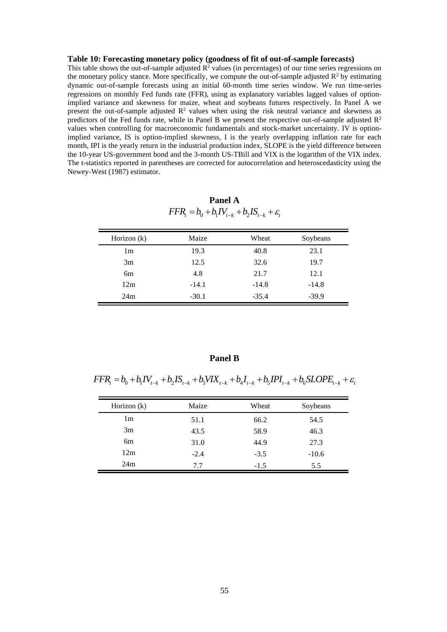#### **Table 10: Forecasting monetary policy (goodness of fit of out-of-sample forecasts)**

This table shows the out-of-sample adjusted  $R^2$  values (in percentages) of our time series regressions on the monetary policy stance. More specifically, we compute the out-of-sample adjusted  $\mathbb{R}^2$  by estimating dynamic out-of-sample forecasts using an initial 60-month time series window. We run time-series regressions on monthly Fed funds rate (FFR), using as explanatory variables lagged values of optionimplied variance and skewness for maize, wheat and soybeans futures respectively. In Panel A we present the out-of-sample adjusted  $R^2$  values when using the risk neutral variance and skewness as predictors of the Fed funds rate, while in Panel B we present the respective out-of-sample adjusted  $\mathbb{R}^2$ values when controlling for macroeconomic fundamentals and stock-market uncertainty. IV is optionimplied variance, IS is option-implied skewness, I is the yearly overlapping inflation rate for each month, IPI is the yearly return in the industrial production index, SLOPE is the yield difference between the 10-year US-government bond and the 3-month US-TBill and VIX is the logarithm of the VIX index. The t-statistics reported in parentheses are corrected for autocorrelation and heteroscedasticity using the Newey-West (1987) estimator.

**Panel A**  $FFR_{t} = b_0 + b_1 IV_{t-k} + b_2 IS_{t-k} + \varepsilon_t$ 

| Horizon $(k)$ | Maize   | Wheat   | Soybeans |
|---------------|---------|---------|----------|
| 1m            | 19.3    | 40.8    | 23.1     |
| 3m            | 12.5    | 32.6    | 19.7     |
| 6m            | 4.8     | 21.7    | 12.1     |
| 12m           | $-14.1$ | $-14.8$ | $-14.8$  |
| 24m           | $-30.1$ | $-35.4$ | $-39.9$  |

#### **Panel B**

 $FFR_{t} = b_{0} + b_{1}IV_{t-k} + b_{2}IS_{t-k} + b_{3}VIX_{t-k} + b_{4}I_{t-k} + b_{5}IPI_{t-k} + b_{6}SLOPE_{t-k} + \varepsilon_{t}$ 

| Horizon $(k)$  | Maize  | Wheat  | Soybeans |
|----------------|--------|--------|----------|
| 1 <sub>m</sub> | 51.1   | 66.2   | 54.5     |
| 3m             | 43.5   | 58.9   | 46.3     |
| 6 <sub>m</sub> | 31.0   | 44.9   | 27.3     |
| 12m            | $-2.4$ | $-3.5$ | $-10.6$  |
| 24m            | 7.7    | $-1.5$ | 5.5      |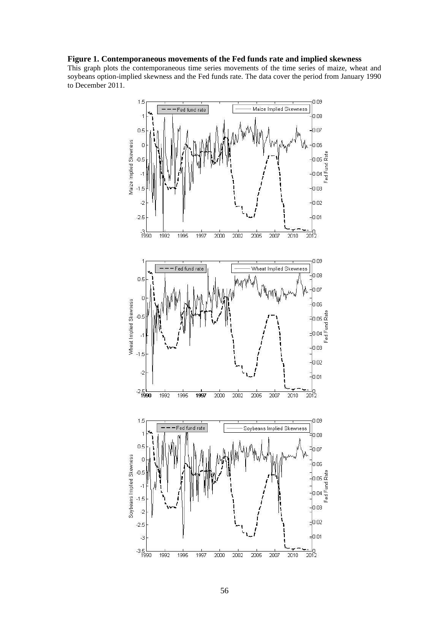# **Figure 1. Contemporaneous movements of the Fed funds rate and implied skewness**

This graph plots the contemporaneous time series movements of the time series of maize, wheat and soybeans option-implied skewness and the Fed funds rate. The data cover the period from January 1990 to December 2011.

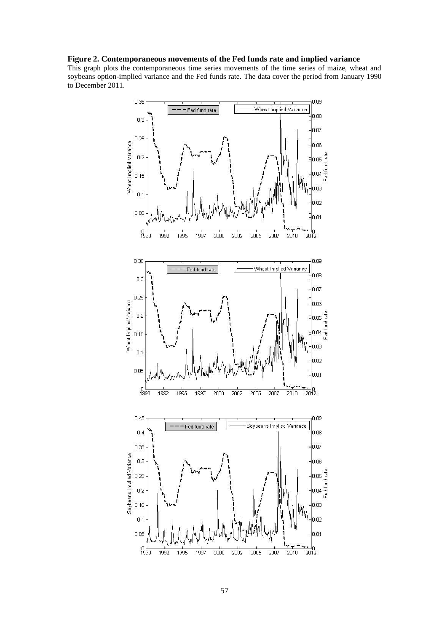# **Figure 2. Contemporaneous movements of the Fed funds rate and implied variance**

This graph plots the contemporaneous time series movements of the time series of maize, wheat and soybeans option-implied variance and the Fed funds rate. The data cover the period from January 1990 to December 2011.

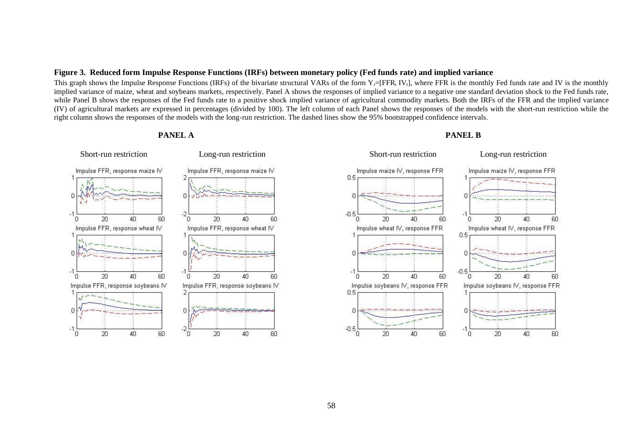#### **Figure 3. Reduced form Impulse Response Functions (IRFs) between monetary policy (Fed funds rate) and implied variance**

This graph shows the Impulse Response Functions (IRFs) of the bivariate structural VARs of the form  $Y_t = [FFR_t IV_t]$ , where FFR is the monthly Fed funds rate and IV is the monthly implied variance of maize, wheat and soybeans markets, respectively. Panel A shows the responses of implied variance to a negative one standard deviation shock to the Fed funds rate, while Panel B shows the responses of the Fed funds rate to a positive shock implied variance of agricultural commodity markets. Both the IRFs of the FFR and the implied variance (IV) of agricultural markets are expressed in percentages (divided by 100). The left column of each Panel shows the responses of the models with the short-run restriction while the right column shows the responses of the models with the long-run restriction. The dashed lines show the 95% bootstrapped confidence intervals.

#### **PANEL A**



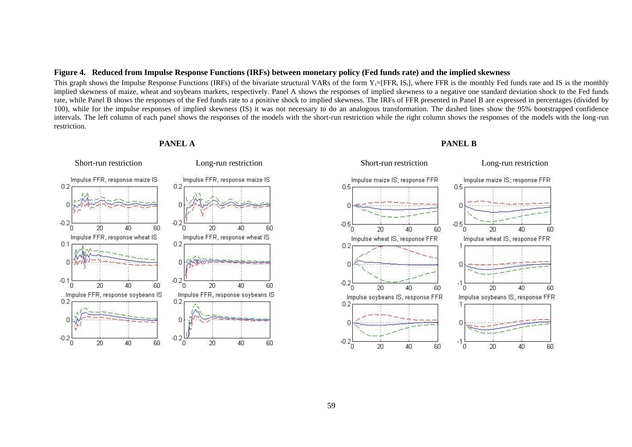#### **Figure 4. Reduced from Impulse Response Functions (IRFs) between monetary policy (Fed funds rate) and the implied skewness**

This graph shows the Impulse Response Functions (IRFs) of the bivariate structural VARs of the form  $Y_{t}=[FFR_{t} I S_{t}]$ , where FFR is the monthly Fed funds rate and IS is the monthly implied skewness of maize, wheat and soybeans markets, respectively. Panel A shows the responses of implied skewness to a negative one standard deviation shock to the Fed funds rate, while Panel B shows the responses of the Fed funds rate to a positive shock to implied skewness. The IRFs of FFR presented in Panel B are expressed in percentages (divided by 100), while for the impulse responses of implied skewness (IS) it was not necessary to do an analogous transformation. The dashed lines show the 95% bootstrapped confidence intervals. The left column of each panel shows the responses of the models with the short-run restriction while the right column shows the responses of the models with the long-run restriction.

#### **PANEL A**



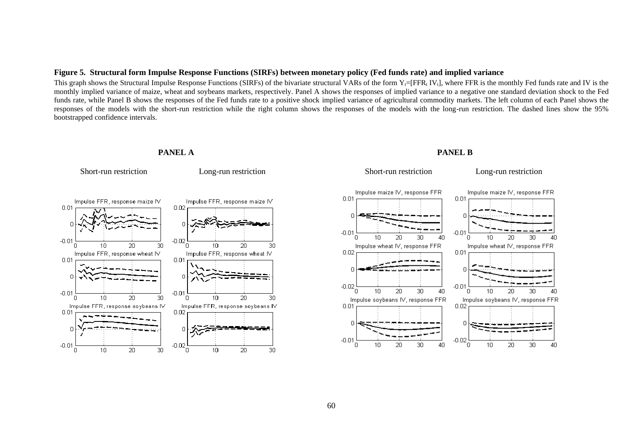#### **Figure 5. Structural form Impulse Response Functions (SIRFs) between monetary policy (Fed funds rate) and implied variance**

This graph shows the Structural Impulse Response Functions (SIRFs) of the bivariate structural VARs of the form  $Y_t = [FFR_t IV_t]$ , where FFR is the monthly Fed funds rate and IV is the monthly implied variance of maize, wheat and soybeans markets, respectively. Panel A shows the responses of implied variance to a negative one standard deviation shock to the Fed funds rate, while Panel B shows the responses of the Fed funds rate to a positive shock implied variance of agricultural commodity markets. The left column of each Panel shows the responses of the models with the short-run restriction while the right column shows the responses of the models with the long-run restriction. The dashed lines show the 95% bootstrapped confidence intervals.



 **PANEL A**